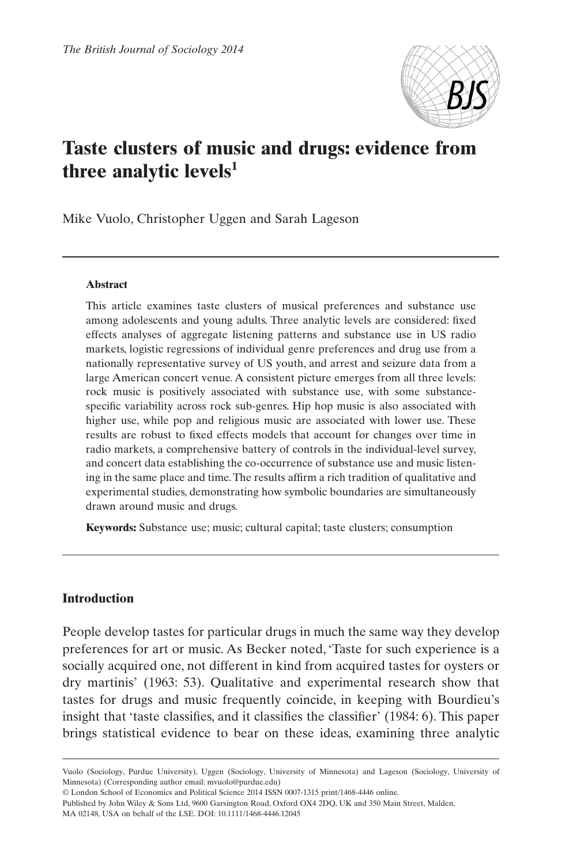

# **Taste clusters of music and drugs: evidence from three analytic levels1**

Mike Vuolo, Christopher Uggen and Sarah Lageson

#### **Abstract**

This article examines taste clusters of musical preferences and substance use among adolescents and young adults. Three analytic levels are considered: fixed effects analyses of aggregate listening patterns and substance use in US radio markets, logistic regressions of individual genre preferences and drug use from a nationally representative survey of US youth, and arrest and seizure data from a large American concert venue. A consistent picture emerges from all three levels: rock music is positively associated with substance use, with some substancespecific variability across rock sub-genres. Hip hop music is also associated with higher use, while pop and religious music are associated with lower use. These results are robust to fixed effects models that account for changes over time in radio markets, a comprehensive battery of controls in the individual-level survey, and concert data establishing the co-occurrence of substance use and music listening in the same place and time.The results affirm a rich tradition of qualitative and experimental studies, demonstrating how symbolic boundaries are simultaneously drawn around music and drugs.

**Keywords:** Substance use; music; cultural capital; taste clusters; consumption

#### **Introduction**

People develop tastes for particular drugs in much the same way they develop preferences for art or music. As Becker noted, 'Taste for such experience is a socially acquired one, not different in kind from acquired tastes for oysters or dry martinis' (1963: 53). Qualitative and experimental research show that tastes for drugs and music frequently coincide, in keeping with Bourdieu's insight that 'taste classifies, and it classifies the classifier' (1984: 6). This paper brings statistical evidence to bear on these ideas, examining three analytic

MA 02148, USA on behalf of the LSE. DOI: 10.1111/1468-4446.12045

Vuolo (Sociology, Purdue University), Uggen (Sociology, University of Minnesota) and Lageson (Sociology, University of Minnesota) (Corresponding author email: [mvuolo@purdue.edu\)](mailto:mvuolo@purdue.edu)

<sup>©</sup> London School of Economics and Political Science 2014 ISSN 0007-1315 print/1468-4446 online.

Published by John Wiley & Sons Ltd, 9600 Garsington Road, Oxford OX4 2DQ, UK and 350 Main Street, Malden,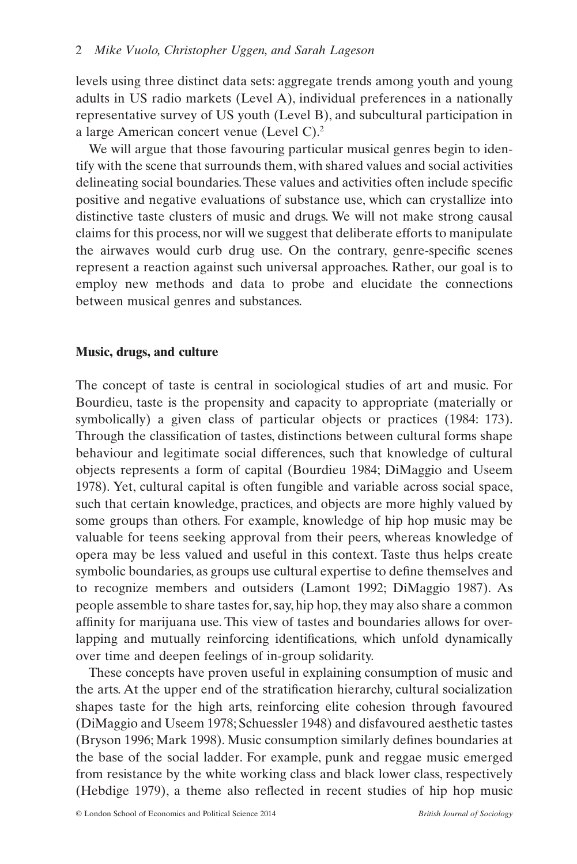levels using three distinct data sets: aggregate trends among youth and young adults in US radio markets (Level A), individual preferences in a nationally representative survey of US youth (Level B), and subcultural participation in a large American concert venue (Level C).2

We will argue that those favouring particular musical genres begin to identify with the scene that surrounds them, with shared values and social activities delineating social boundaries.These values and activities often include specific positive and negative evaluations of substance use, which can crystallize into distinctive taste clusters of music and drugs. We will not make strong causal claims for this process, nor will we suggest that deliberate efforts to manipulate the airwaves would curb drug use. On the contrary, genre-specific scenes represent a reaction against such universal approaches. Rather, our goal is to employ new methods and data to probe and elucidate the connections between musical genres and substances.

#### **Music, drugs, and culture**

The concept of taste is central in sociological studies of art and music. For Bourdieu, taste is the propensity and capacity to appropriate (materially or symbolically) a given class of particular objects or practices (1984: 173). Through the classification of tastes, distinctions between cultural forms shape behaviour and legitimate social differences, such that knowledge of cultural objects represents a form of capital (Bourdieu 1984; DiMaggio and Useem 1978). Yet, cultural capital is often fungible and variable across social space, such that certain knowledge, practices, and objects are more highly valued by some groups than others. For example, knowledge of hip hop music may be valuable for teens seeking approval from their peers, whereas knowledge of opera may be less valued and useful in this context. Taste thus helps create symbolic boundaries, as groups use cultural expertise to define themselves and to recognize members and outsiders (Lamont 1992; DiMaggio 1987). As people assemble to share tastes for, say, hip hop, they may also share a common affinity for marijuana use. This view of tastes and boundaries allows for overlapping and mutually reinforcing identifications, which unfold dynamically over time and deepen feelings of in-group solidarity.

These concepts have proven useful in explaining consumption of music and the arts. At the upper end of the stratification hierarchy, cultural socialization shapes taste for the high arts, reinforcing elite cohesion through favoured (DiMaggio and Useem 1978; Schuessler 1948) and disfavoured aesthetic tastes (Bryson 1996; Mark 1998). Music consumption similarly defines boundaries at the base of the social ladder. For example, punk and reggae music emerged from resistance by the white working class and black lower class, respectively (Hebdige 1979), a theme also reflected in recent studies of hip hop music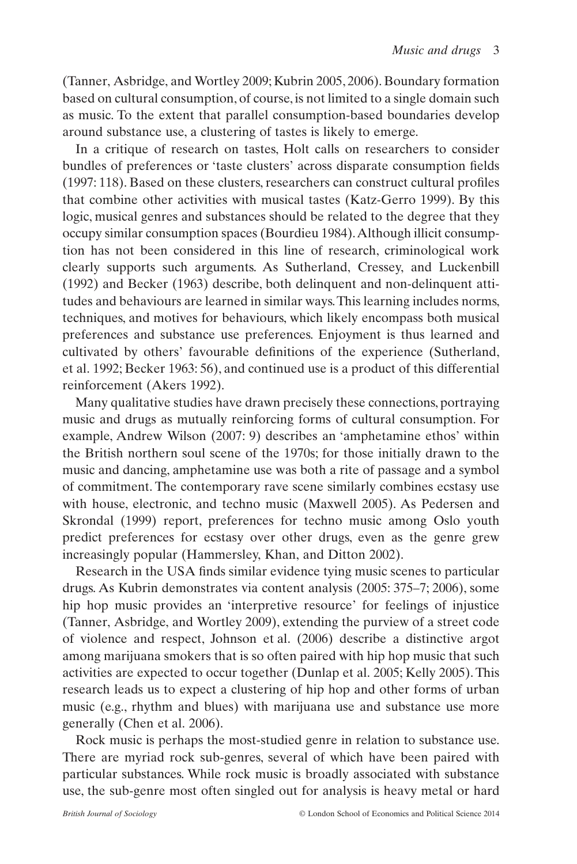(Tanner, Asbridge, and Wortley 2009; Kubrin 2005, 2006). Boundary formation based on cultural consumption, of course, is not limited to a single domain such as music. To the extent that parallel consumption-based boundaries develop around substance use, a clustering of tastes is likely to emerge.

In a critique of research on tastes, Holt calls on researchers to consider bundles of preferences or 'taste clusters' across disparate consumption fields (1997: 118). Based on these clusters, researchers can construct cultural profiles that combine other activities with musical tastes (Katz-Gerro 1999). By this logic, musical genres and substances should be related to the degree that they occupy similar consumption spaces (Bourdieu 1984).Although illicit consumption has not been considered in this line of research, criminological work clearly supports such arguments. As Sutherland, Cressey, and Luckenbill (1992) and Becker (1963) describe, both delinquent and non-delinquent attitudes and behaviours are learned in similar ways.This learning includes norms, techniques, and motives for behaviours, which likely encompass both musical preferences and substance use preferences. Enjoyment is thus learned and cultivated by others' favourable definitions of the experience (Sutherland, et al. 1992; Becker 1963: 56), and continued use is a product of this differential reinforcement (Akers 1992).

Many qualitative studies have drawn precisely these connections, portraying music and drugs as mutually reinforcing forms of cultural consumption. For example, Andrew Wilson (2007: 9) describes an 'amphetamine ethos' within the British northern soul scene of the 1970s; for those initially drawn to the music and dancing, amphetamine use was both a rite of passage and a symbol of commitment. The contemporary rave scene similarly combines ecstasy use with house, electronic, and techno music (Maxwell 2005). As Pedersen and Skrondal (1999) report, preferences for techno music among Oslo youth predict preferences for ecstasy over other drugs, even as the genre grew increasingly popular (Hammersley, Khan, and Ditton 2002).

Research in the USA finds similar evidence tying music scenes to particular drugs. As Kubrin demonstrates via content analysis (2005: 375–7; 2006), some hip hop music provides an 'interpretive resource' for feelings of injustice (Tanner, Asbridge, and Wortley 2009), extending the purview of a street code of violence and respect, Johnson et al. (2006) describe a distinctive argot among marijuana smokers that is so often paired with hip hop music that such activities are expected to occur together (Dunlap et al. 2005; Kelly 2005). This research leads us to expect a clustering of hip hop and other forms of urban music (e.g., rhythm and blues) with marijuana use and substance use more generally (Chen et al. 2006).

Rock music is perhaps the most-studied genre in relation to substance use. There are myriad rock sub-genres, several of which have been paired with particular substances. While rock music is broadly associated with substance use, the sub-genre most often singled out for analysis is heavy metal or hard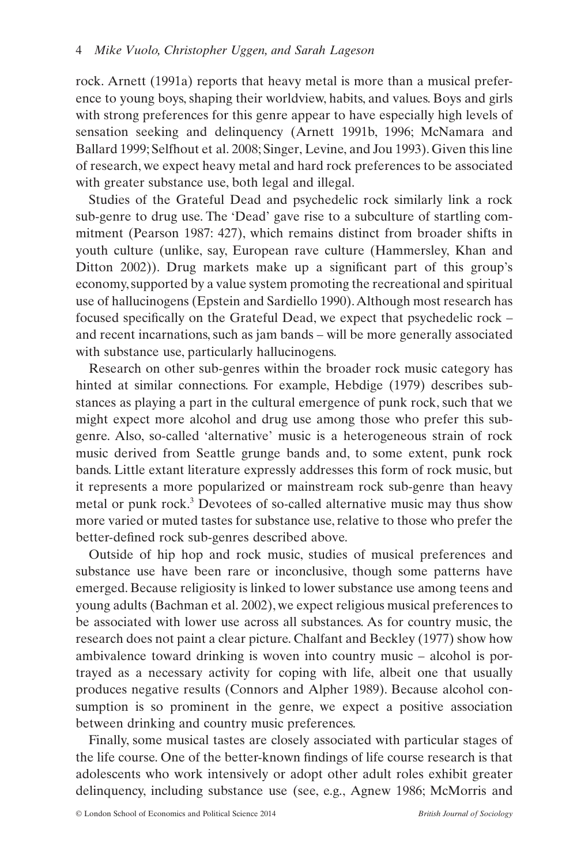rock. Arnett (1991a) reports that heavy metal is more than a musical preference to young boys, shaping their worldview, habits, and values. Boys and girls with strong preferences for this genre appear to have especially high levels of sensation seeking and delinquency (Arnett 1991b, 1996; McNamara and Ballard 1999; Selfhout et al. 2008; Singer, Levine, and Jou 1993). Given this line of research, we expect heavy metal and hard rock preferences to be associated with greater substance use, both legal and illegal.

Studies of the Grateful Dead and psychedelic rock similarly link a rock sub-genre to drug use. The 'Dead' gave rise to a subculture of startling commitment (Pearson 1987: 427), which remains distinct from broader shifts in youth culture (unlike, say, European rave culture (Hammersley, Khan and Ditton 2002)). Drug markets make up a significant part of this group's economy, supported by a value system promoting the recreational and spiritual use of hallucinogens (Epstein and Sardiello 1990).Although most research has focused specifically on the Grateful Dead, we expect that psychedelic rock – and recent incarnations, such as jam bands – will be more generally associated with substance use, particularly hallucinogens.

Research on other sub-genres within the broader rock music category has hinted at similar connections. For example, Hebdige (1979) describes substances as playing a part in the cultural emergence of punk rock, such that we might expect more alcohol and drug use among those who prefer this subgenre. Also, so-called 'alternative' music is a heterogeneous strain of rock music derived from Seattle grunge bands and, to some extent, punk rock bands. Little extant literature expressly addresses this form of rock music, but it represents a more popularized or mainstream rock sub-genre than heavy metal or punk rock.3 Devotees of so-called alternative music may thus show more varied or muted tastes for substance use, relative to those who prefer the better-defined rock sub-genres described above.

Outside of hip hop and rock music, studies of musical preferences and substance use have been rare or inconclusive, though some patterns have emerged. Because religiosity is linked to lower substance use among teens and young adults (Bachman et al. 2002), we expect religious musical preferences to be associated with lower use across all substances. As for country music, the research does not paint a clear picture. Chalfant and Beckley (1977) show how ambivalence toward drinking is woven into country music – alcohol is portrayed as a necessary activity for coping with life, albeit one that usually produces negative results (Connors and Alpher 1989). Because alcohol consumption is so prominent in the genre, we expect a positive association between drinking and country music preferences.

Finally, some musical tastes are closely associated with particular stages of the life course. One of the better-known findings of life course research is that adolescents who work intensively or adopt other adult roles exhibit greater delinquency, including substance use (see, e.g., Agnew 1986; McMorris and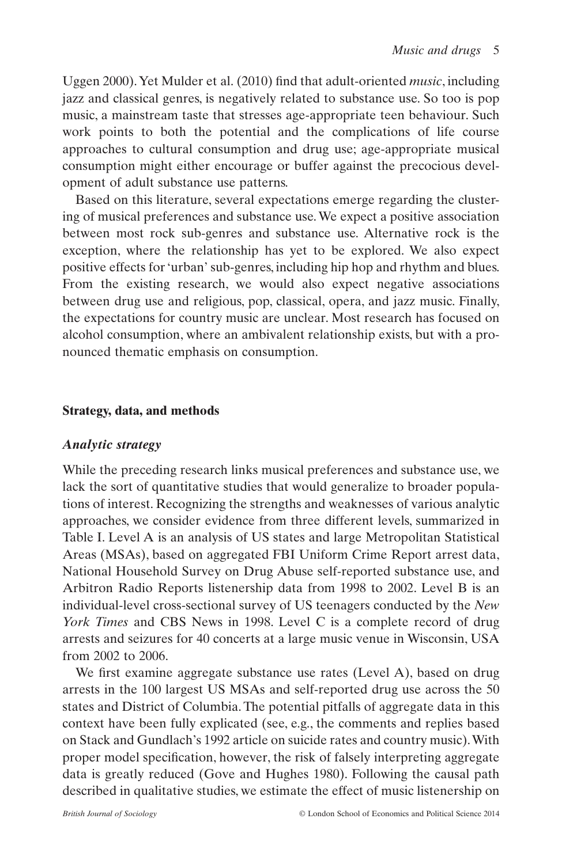Uggen 2000).Yet Mulder et al. (2010) find that adult-oriented *music*, including jazz and classical genres, is negatively related to substance use. So too is pop music, a mainstream taste that stresses age-appropriate teen behaviour. Such work points to both the potential and the complications of life course approaches to cultural consumption and drug use; age-appropriate musical consumption might either encourage or buffer against the precocious development of adult substance use patterns.

Based on this literature, several expectations emerge regarding the clustering of musical preferences and substance use.We expect a positive association between most rock sub-genres and substance use. Alternative rock is the exception, where the relationship has yet to be explored. We also expect positive effects for 'urban' sub-genres, including hip hop and rhythm and blues. From the existing research, we would also expect negative associations between drug use and religious, pop, classical, opera, and jazz music. Finally, the expectations for country music are unclear. Most research has focused on alcohol consumption, where an ambivalent relationship exists, but with a pronounced thematic emphasis on consumption.

#### **Strategy, data, and methods**

### *Analytic strategy*

While the preceding research links musical preferences and substance use, we lack the sort of quantitative studies that would generalize to broader populations of interest. Recognizing the strengths and weaknesses of various analytic approaches, we consider evidence from three different levels, summarized in Table I. Level A is an analysis of US states and large Metropolitan Statistical Areas (MSAs), based on aggregated FBI Uniform Crime Report arrest data, National Household Survey on Drug Abuse self-reported substance use, and Arbitron Radio Reports listenership data from 1998 to 2002. Level B is an individual-level cross-sectional survey of US teenagers conducted by the *New York Times* and CBS News in 1998. Level C is a complete record of drug arrests and seizures for 40 concerts at a large music venue in Wisconsin, USA from 2002 to 2006.

We first examine aggregate substance use rates (Level A), based on drug arrests in the 100 largest US MSAs and self-reported drug use across the 50 states and District of Columbia. The potential pitfalls of aggregate data in this context have been fully explicated (see, e.g., the comments and replies based on Stack and Gundlach's 1992 article on suicide rates and country music).With proper model specification, however, the risk of falsely interpreting aggregate data is greatly reduced (Gove and Hughes 1980). Following the causal path described in qualitative studies, we estimate the effect of music listenership on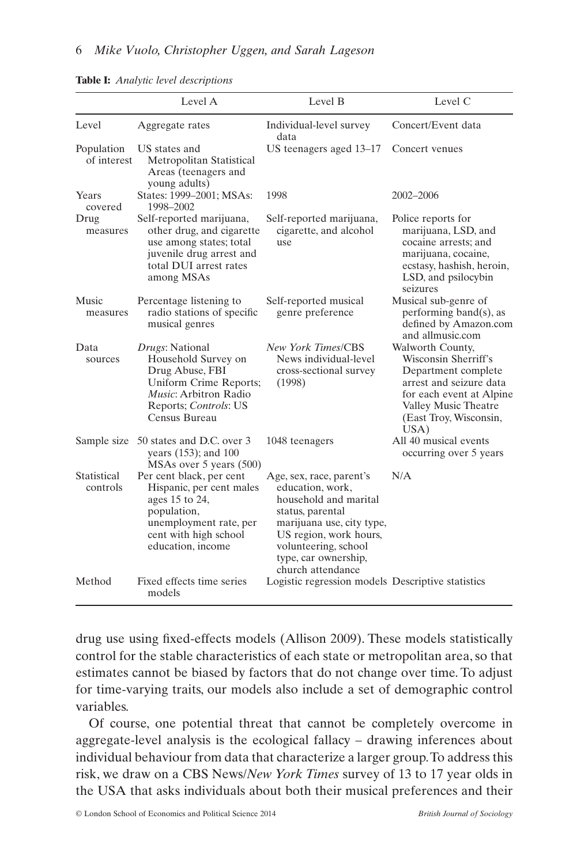|                           | Level A                                                                                                                                                       | Level B                                                                                                                                                                                                               | Level C                                                                                                                                                                          |
|---------------------------|---------------------------------------------------------------------------------------------------------------------------------------------------------------|-----------------------------------------------------------------------------------------------------------------------------------------------------------------------------------------------------------------------|----------------------------------------------------------------------------------------------------------------------------------------------------------------------------------|
| Level                     | Aggregate rates                                                                                                                                               | Individual-level survey<br>data                                                                                                                                                                                       | Concert/Event data                                                                                                                                                               |
| Population<br>of interest | US states and<br>Metropolitan Statistical<br>Areas (teenagers and<br>young adults)                                                                            | US teenagers aged 13–17                                                                                                                                                                                               | Concert venues                                                                                                                                                                   |
| Years<br>covered          | States: 1999-2001; MSAs:<br>1998-2002                                                                                                                         | 1998                                                                                                                                                                                                                  | 2002–2006                                                                                                                                                                        |
| Drug<br>measures          | Self-reported marijuana,<br>other drug, and cigarette<br>use among states; total<br>juvenile drug arrest and<br>total DUI arrest rates<br>among MSAs          | Self-reported marijuana,<br>cigarette, and alcohol<br>use                                                                                                                                                             | Police reports for<br>marijuana, LSD, and<br>cocaine arrests; and<br>marijuana, cocaine,<br>ecstasy, hashish, heroin,<br>LSD, and psilocybin<br>seizures                         |
| Music<br>measures         | Percentage listening to<br>radio stations of specific<br>musical genres                                                                                       | Self-reported musical<br>genre preference                                                                                                                                                                             | Musical sub-genre of<br>performing band $(s)$ , as<br>defined by Amazon.com<br>and allmusic.com                                                                                  |
| Data<br>sources           | Drugs: National<br>Household Survey on<br>Drug Abuse, FBI<br>Uniform Crime Reports;<br>Music: Arbitron Radio<br>Reports; Controls: US<br>Census Bureau        | <b>New York Times/CBS</b><br>News individual-level<br>cross-sectional survey<br>(1998)                                                                                                                                | Walworth County,<br>Wisconsin Sherriff's<br>Department complete<br>arrest and seizure data<br>for each event at Alpine<br>Valley Music Theatre<br>(East Troy, Wisconsin,<br>USA) |
| Sample size               | 50 states and D.C. over 3<br>years $(153)$ ; and $100$<br>MSAs over 5 years (500)                                                                             | 1048 teenagers                                                                                                                                                                                                        | All 40 musical events<br>occurring over 5 years                                                                                                                                  |
| Statistical<br>controls   | Per cent black, per cent<br>Hispanic, per cent males<br>ages 15 to 24,<br>population,<br>unemployment rate, per<br>cent with high school<br>education, income | Age, sex, race, parent's<br>education, work,<br>household and marital<br>status, parental<br>marijuana use, city type,<br>US region, work hours,<br>volunteering, school<br>type, car ownership,<br>church attendance | N/A                                                                                                                                                                              |
| Method                    | Fixed effects time series<br>models                                                                                                                           | Logistic regression models Descriptive statistics                                                                                                                                                                     |                                                                                                                                                                                  |

**Table I:** *Analytic level descriptions*

drug use using fixed-effects models (Allison 2009). These models statistically control for the stable characteristics of each state or metropolitan area, so that estimates cannot be biased by factors that do not change over time. To adjust for time-varying traits, our models also include a set of demographic control variables.

Of course, one potential threat that cannot be completely overcome in aggregate-level analysis is the ecological fallacy – drawing inferences about individual behaviour from data that characterize a larger group.To address this risk, we draw on a CBS News/*New York Times* survey of 13 to 17 year olds in the USA that asks individuals about both their musical preferences and their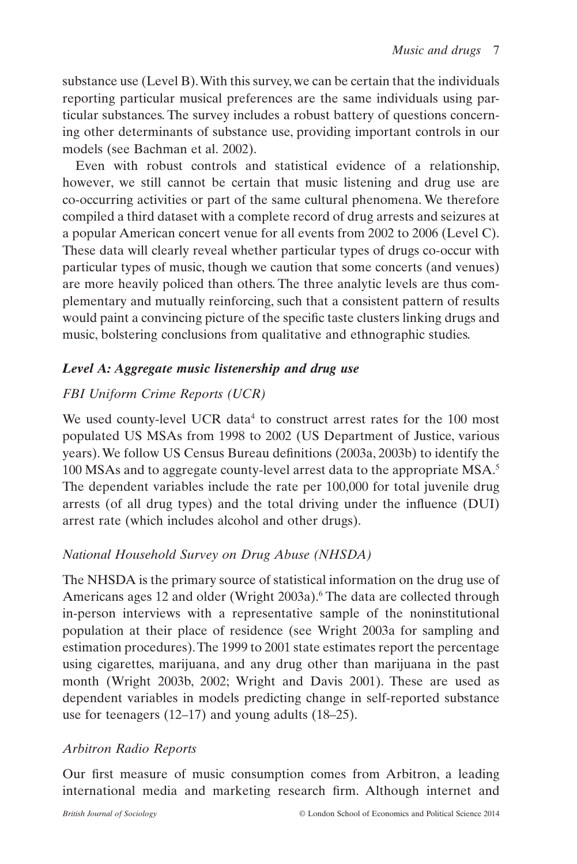substance use (Level B).With this survey, we can be certain that the individuals reporting particular musical preferences are the same individuals using particular substances. The survey includes a robust battery of questions concerning other determinants of substance use, providing important controls in our models (see Bachman et al. 2002).

Even with robust controls and statistical evidence of a relationship, however, we still cannot be certain that music listening and drug use are co-occurring activities or part of the same cultural phenomena. We therefore compiled a third dataset with a complete record of drug arrests and seizures at a popular American concert venue for all events from 2002 to 2006 (Level C). These data will clearly reveal whether particular types of drugs co-occur with particular types of music, though we caution that some concerts (and venues) are more heavily policed than others. The three analytic levels are thus complementary and mutually reinforcing, such that a consistent pattern of results would paint a convincing picture of the specific taste clusters linking drugs and music, bolstering conclusions from qualitative and ethnographic studies.

## *Level A: Aggregate music listenership and drug use*

## *FBI Uniform Crime Reports (UCR)*

We used county-level UCR data<sup>4</sup> to construct arrest rates for the 100 most populated US MSAs from 1998 to 2002 (US Department of Justice, various years).We follow US Census Bureau definitions (2003a, 2003b) to identify the 100 MSAs and to aggregate county-level arrest data to the appropriate MSA.5 The dependent variables include the rate per 100,000 for total juvenile drug arrests (of all drug types) and the total driving under the influence (DUI) arrest rate (which includes alcohol and other drugs).

### *National Household Survey on Drug Abuse (NHSDA)*

The NHSDA is the primary source of statistical information on the drug use of Americans ages 12 and older (Wright 2003a).<sup>6</sup> The data are collected through in-person interviews with a representative sample of the noninstitutional population at their place of residence (see Wright 2003a for sampling and estimation procedures).The 1999 to 2001 state estimates report the percentage using cigarettes, marijuana, and any drug other than marijuana in the past month (Wright 2003b, 2002; Wright and Davis 2001). These are used as dependent variables in models predicting change in self-reported substance use for teenagers (12–17) and young adults (18–25).

### *Arbitron Radio Reports*

Our first measure of music consumption comes from Arbitron, a leading international media and marketing research firm. Although internet and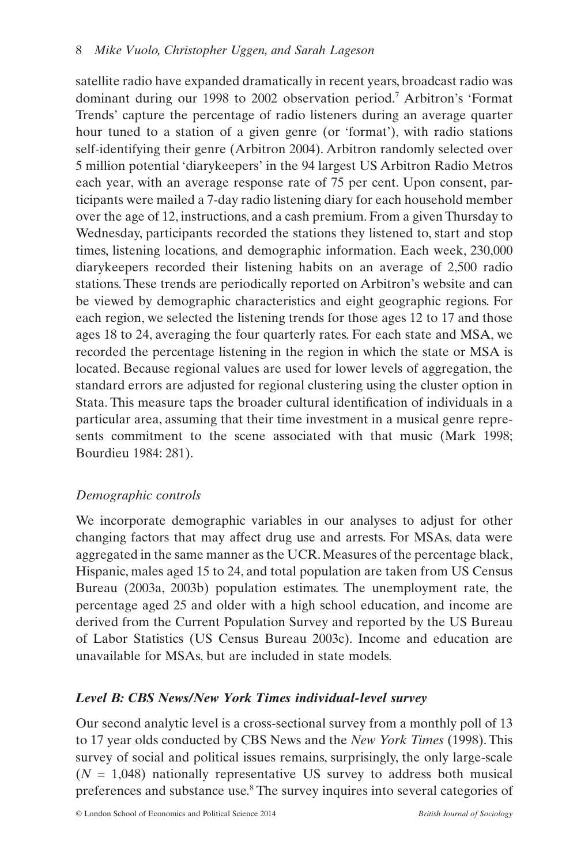satellite radio have expanded dramatically in recent years, broadcast radio was dominant during our 1998 to 2002 observation period.7 Arbitron's 'Format Trends' capture the percentage of radio listeners during an average quarter hour tuned to a station of a given genre (or 'format'), with radio stations self-identifying their genre (Arbitron 2004). Arbitron randomly selected over 5 million potential 'diarykeepers' in the 94 largest US Arbitron Radio Metros each year, with an average response rate of 75 per cent. Upon consent, participants were mailed a 7-day radio listening diary for each household member over the age of 12, instructions, and a cash premium. From a given Thursday to Wednesday, participants recorded the stations they listened to, start and stop times, listening locations, and demographic information. Each week, 230,000 diarykeepers recorded their listening habits on an average of 2,500 radio stations. These trends are periodically reported on Arbitron's website and can be viewed by demographic characteristics and eight geographic regions. For each region, we selected the listening trends for those ages 12 to 17 and those ages 18 to 24, averaging the four quarterly rates. For each state and MSA, we recorded the percentage listening in the region in which the state or MSA is located. Because regional values are used for lower levels of aggregation, the standard errors are adjusted for regional clustering using the cluster option in Stata. This measure taps the broader cultural identification of individuals in a particular area, assuming that their time investment in a musical genre represents commitment to the scene associated with that music (Mark 1998; Bourdieu 1984: 281).

### *Demographic controls*

We incorporate demographic variables in our analyses to adjust for other changing factors that may affect drug use and arrests. For MSAs, data were aggregated in the same manner as the UCR.Measures of the percentage black, Hispanic, males aged 15 to 24, and total population are taken from US Census Bureau (2003a, 2003b) population estimates. The unemployment rate, the percentage aged 25 and older with a high school education, and income are derived from the Current Population Survey and reported by the US Bureau of Labor Statistics (US Census Bureau 2003c). Income and education are unavailable for MSAs, but are included in state models.

### *Level B: CBS News/New York Times individual-level survey*

Our second analytic level is a cross-sectional survey from a monthly poll of 13 to 17 year olds conducted by CBS News and the *New York Times* (1998). This survey of social and political issues remains, surprisingly, the only large-scale  $(N = 1,048)$  nationally representative US survey to address both musical preferences and substance use.8 The survey inquires into several categories of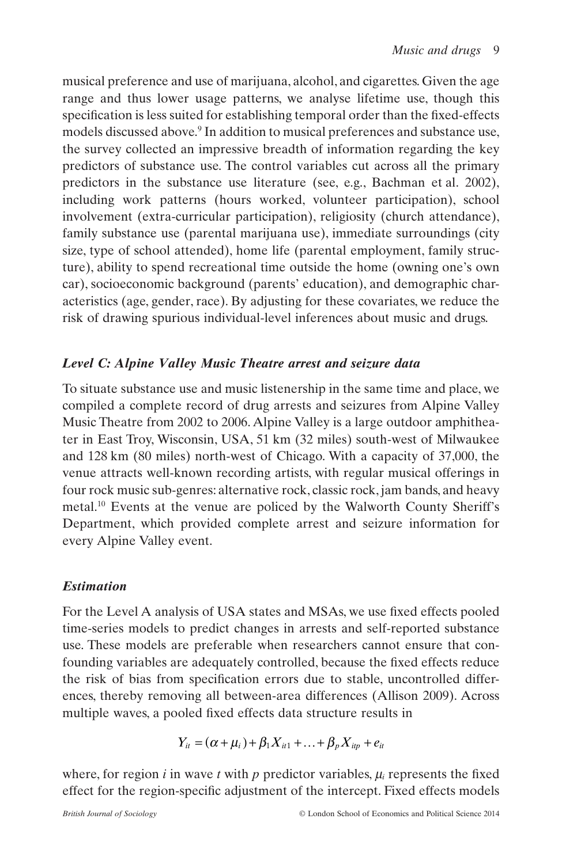musical preference and use of marijuana, alcohol, and cigarettes. Given the age range and thus lower usage patterns, we analyse lifetime use, though this specification is less suited for establishing temporal order than the fixed-effects models discussed above.<sup>9</sup> In addition to musical preferences and substance use, the survey collected an impressive breadth of information regarding the key predictors of substance use. The control variables cut across all the primary predictors in the substance use literature (see, e.g., Bachman et al. 2002), including work patterns (hours worked, volunteer participation), school involvement (extra-curricular participation), religiosity (church attendance), family substance use (parental marijuana use), immediate surroundings (city size, type of school attended), home life (parental employment, family structure), ability to spend recreational time outside the home (owning one's own car), socioeconomic background (parents' education), and demographic characteristics (age, gender, race). By adjusting for these covariates, we reduce the risk of drawing spurious individual-level inferences about music and drugs.

### *Level C: Alpine Valley Music Theatre arrest and seizure data*

To situate substance use and music listenership in the same time and place, we compiled a complete record of drug arrests and seizures from Alpine Valley Music Theatre from 2002 to 2006. Alpine Valley is a large outdoor amphitheater in East Troy, Wisconsin, USA, 51 km (32 miles) south-west of Milwaukee and 128 km (80 miles) north-west of Chicago. With a capacity of 37,000, the venue attracts well-known recording artists, with regular musical offerings in four rock music sub-genres: alternative rock, classic rock, jam bands, and heavy metal.10 Events at the venue are policed by the Walworth County Sheriff's Department, which provided complete arrest and seizure information for every Alpine Valley event.

### *Estimation*

For the Level A analysis of USA states and MSAs, we use fixed effects pooled time-series models to predict changes in arrests and self-reported substance use. These models are preferable when researchers cannot ensure that confounding variables are adequately controlled, because the fixed effects reduce the risk of bias from specification errors due to stable, uncontrolled differences, thereby removing all between-area differences (Allison 2009). Across multiple waves, a pooled fixed effects data structure results in

$$
Y_{it}=(\alpha+\mu_i)+\beta_1X_{it1}+\ldots+\beta_pX_{itp}+e_{it}
$$

where, for region *i* in wave *t* with  $p$  predictor variables,  $\mu_i$  represents the fixed effect for the region-specific adjustment of the intercept. Fixed effects models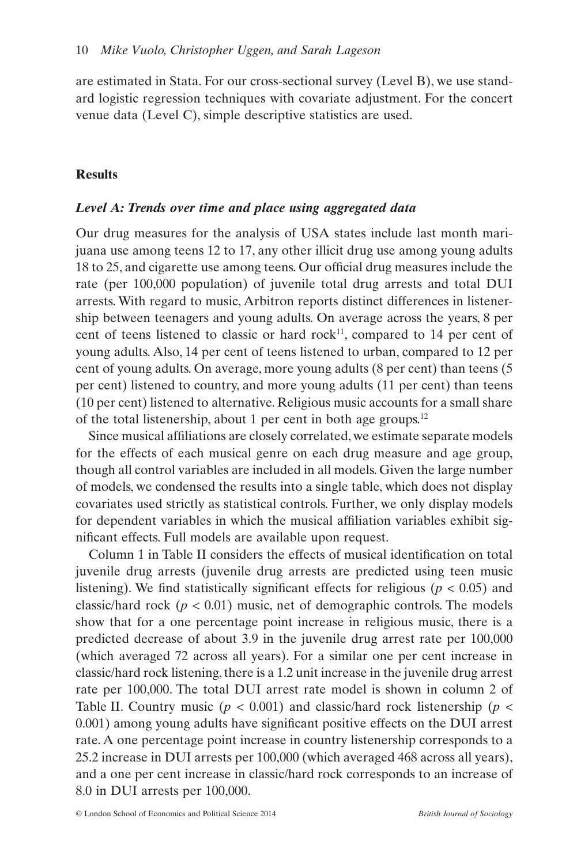are estimated in Stata. For our cross-sectional survey (Level B), we use standard logistic regression techniques with covariate adjustment. For the concert venue data (Level C), simple descriptive statistics are used.

#### **Results**

#### *Level A: Trends over time and place using aggregated data*

Our drug measures for the analysis of USA states include last month marijuana use among teens 12 to 17, any other illicit drug use among young adults 18 to 25, and cigarette use among teens. Our official drug measures include the rate (per 100,000 population) of juvenile total drug arrests and total DUI arrests. With regard to music, Arbitron reports distinct differences in listenership between teenagers and young adults. On average across the years, 8 per cent of teens listened to classic or hard rock<sup>11</sup>, compared to 14 per cent of young adults. Also, 14 per cent of teens listened to urban, compared to 12 per cent of young adults. On average, more young adults (8 per cent) than teens (5 per cent) listened to country, and more young adults (11 per cent) than teens (10 per cent) listened to alternative. Religious music accounts for a small share of the total listenership, about 1 per cent in both age groups.<sup>12</sup>

Since musical affiliations are closely correlated, we estimate separate models for the effects of each musical genre on each drug measure and age group, though all control variables are included in all models. Given the large number of models, we condensed the results into a single table, which does not display covariates used strictly as statistical controls. Further, we only display models for dependent variables in which the musical affiliation variables exhibit significant effects. Full models are available upon request.

Column 1 in Table II considers the effects of musical identification on total juvenile drug arrests (juvenile drug arrests are predicted using teen music listening). We find statistically significant effects for religious ( $p < 0.05$ ) and classic/hard rock  $(p < 0.01)$  music, net of demographic controls. The models show that for a one percentage point increase in religious music, there is a predicted decrease of about 3.9 in the juvenile drug arrest rate per 100,000 (which averaged 72 across all years). For a similar one per cent increase in classic/hard rock listening, there is a 1.2 unit increase in the juvenile drug arrest rate per 100,000. The total DUI arrest rate model is shown in column 2 of Table II. Country music ( $p < 0.001$ ) and classic/hard rock listenership ( $p <$ 0.001) among young adults have significant positive effects on the DUI arrest rate. A one percentage point increase in country listenership corresponds to a 25.2 increase in DUI arrests per 100,000 (which averaged 468 across all years), and a one per cent increase in classic/hard rock corresponds to an increase of 8.0 in DUI arrests per 100,000.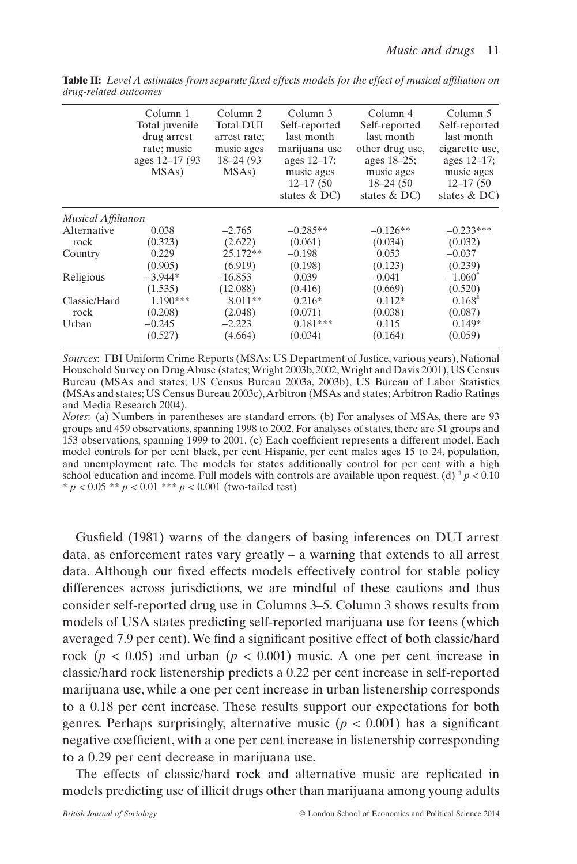|                            | Column 1<br>Total juvenile<br>drug arrest<br>rate; music<br>ages 12-17 (93<br>MSAs) | Column 2<br>Total DUI<br>arrest rate;<br>music ages<br>18-24 (93)<br>MSA <sub>s</sub> ) | Column 3<br>Self-reported<br>last month<br>marijuana use<br>ages 12-17;<br>music ages<br>$12 - 17(50)$<br>states $&$ DC $)$ | Column 4<br>Self-reported<br>last month<br>other drug use,<br>ages 18–25;<br>music ages<br>$18 - 24(50)$<br>states $&$ DC $)$ | Column 5<br>Self-reported<br>last month<br>cigarette use,<br>ages 12-17;<br>music ages<br>$12 - 17(50)$<br>states $&$ DC) |
|----------------------------|-------------------------------------------------------------------------------------|-----------------------------------------------------------------------------------------|-----------------------------------------------------------------------------------------------------------------------------|-------------------------------------------------------------------------------------------------------------------------------|---------------------------------------------------------------------------------------------------------------------------|
| <b>Musical Affiliation</b> |                                                                                     |                                                                                         |                                                                                                                             |                                                                                                                               |                                                                                                                           |
| Alternative                | 0.038                                                                               | $-2.765$                                                                                | $-0.285**$                                                                                                                  | $-0.126**$                                                                                                                    | $-0.233***$                                                                                                               |
| rock                       | (0.323)                                                                             | (2.622)                                                                                 | (0.061)                                                                                                                     | (0.034)                                                                                                                       | (0.032)                                                                                                                   |
| Country                    | 0.229                                                                               | 25.172**                                                                                | $-0.198$                                                                                                                    | 0.053                                                                                                                         | $-0.037$                                                                                                                  |
|                            | (0.905)                                                                             | (6.919)                                                                                 | (0.198)                                                                                                                     | (0.123)                                                                                                                       | (0.239)                                                                                                                   |
| Religious                  | $-3.944*$                                                                           | $-16.853$                                                                               | 0.039                                                                                                                       | $-0.041$                                                                                                                      | $-1.060*$                                                                                                                 |
|                            | (1.535)                                                                             | (12.088)                                                                                | (0.416)                                                                                                                     | (0.669)                                                                                                                       | (0.520)                                                                                                                   |
| Classic/Hard               | $1.190***$                                                                          | $8.011**$                                                                               | $0.216*$                                                                                                                    | $0.112*$                                                                                                                      | $0.168*$                                                                                                                  |
| rock                       | (0.208)                                                                             | (2.048)                                                                                 | (0.071)                                                                                                                     | (0.038)                                                                                                                       | (0.087)                                                                                                                   |
| Urban                      | $-0.245$                                                                            | $-2.223$                                                                                | $0.181***$                                                                                                                  | 0.115                                                                                                                         | $0.149*$                                                                                                                  |
|                            | (0.527)                                                                             | (4.664)                                                                                 | (0.034)                                                                                                                     | (0.164)                                                                                                                       | (0.059)                                                                                                                   |

**Table II:** *Level A estimates from separate fixed effects models for the effect of musical affiliation on drug-related outcomes*

*Sources*: FBI Uniform Crime Reports (MSAs; US Department of Justice, various years), National Household Survey on Drug Abuse (states;Wright 2003b, 2002,Wright and Davis 2001), US Census Bureau (MSAs and states; US Census Bureau 2003a, 2003b), US Bureau of Labor Statistics (MSAs and states; US Census Bureau 2003c),Arbitron (MSAs and states; Arbitron Radio Ratings and Media Research 2004).

*Notes*: (a) Numbers in parentheses are standard errors. (b) For analyses of MSAs, there are 93 groups and 459 observations, spanning 1998 to 2002. For analyses of states, there are 51 groups and 153 observations, spanning 1999 to 2001. (c) Each coefficient represents a different model. Each model controls for per cent black, per cent Hispanic, per cent males ages 15 to 24, population, and unemployment rate. The models for states additionally control for per cent with a high school education and income. Full models with controls are available upon request. (d)  $\pi p < 0.10$ \* *p* < 0.05 \*\* *p* < 0.01 \*\*\* *p* < 0.001 (two-tailed test)

Gusfield (1981) warns of the dangers of basing inferences on DUI arrest data, as enforcement rates vary greatly – a warning that extends to all arrest data. Although our fixed effects models effectively control for stable policy differences across jurisdictions, we are mindful of these cautions and thus consider self-reported drug use in Columns 3–5. Column 3 shows results from models of USA states predicting self-reported marijuana use for teens (which averaged 7.9 per cent).We find a significant positive effect of both classic/hard rock ( $p < 0.05$ ) and urban ( $p < 0.001$ ) music. A one per cent increase in classic/hard rock listenership predicts a 0.22 per cent increase in self-reported marijuana use, while a one per cent increase in urban listenership corresponds to a 0.18 per cent increase. These results support our expectations for both genres. Perhaps surprisingly, alternative music  $(p < 0.001)$  has a significant negative coefficient, with a one per cent increase in listenership corresponding to a 0.29 per cent decrease in marijuana use.

The effects of classic/hard rock and alternative music are replicated in models predicting use of illicit drugs other than marijuana among young adults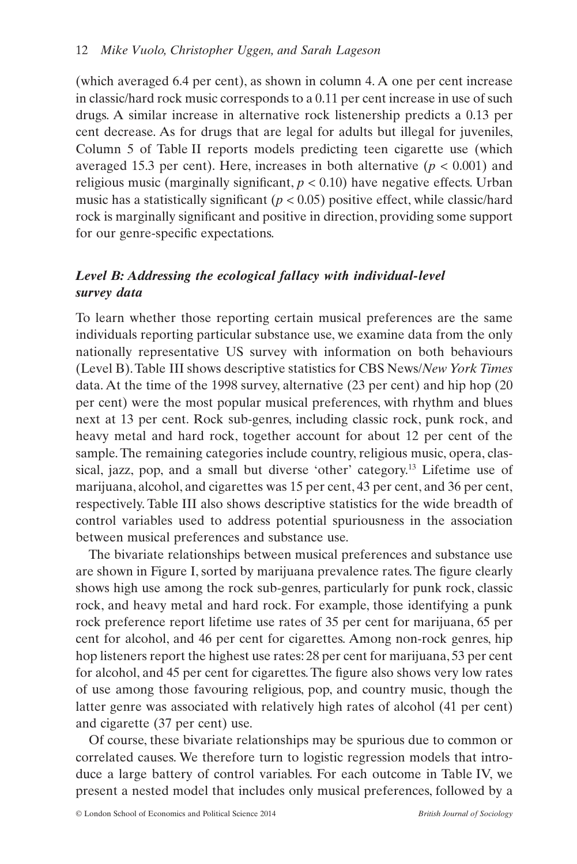(which averaged 6.4 per cent), as shown in column 4. A one per cent increase in classic/hard rock music corresponds to a 0.11 per cent increase in use of such drugs. A similar increase in alternative rock listenership predicts a 0.13 per cent decrease. As for drugs that are legal for adults but illegal for juveniles, Column 5 of Table II reports models predicting teen cigarette use (which averaged 15.3 per cent). Here, increases in both alternative  $(p < 0.001)$  and religious music (marginally significant,  $p < 0.10$ ) have negative effects. Urban music has a statistically significant ( $p < 0.05$ ) positive effect, while classic/hard rock is marginally significant and positive in direction, providing some support for our genre-specific expectations.

### *Level B: Addressing the ecological fallacy with individual-level survey data*

To learn whether those reporting certain musical preferences are the same individuals reporting particular substance use, we examine data from the only nationally representative US survey with information on both behaviours (Level B).Table III shows descriptive statistics for CBS News/*New York Times* data. At the time of the 1998 survey, alternative (23 per cent) and hip hop (20 per cent) were the most popular musical preferences, with rhythm and blues next at 13 per cent. Rock sub-genres, including classic rock, punk rock, and heavy metal and hard rock, together account for about 12 per cent of the sample. The remaining categories include country, religious music, opera, classical, jazz, pop, and a small but diverse 'other' category.13 Lifetime use of marijuana, alcohol, and cigarettes was 15 per cent, 43 per cent, and 36 per cent, respectively. Table III also shows descriptive statistics for the wide breadth of control variables used to address potential spuriousness in the association between musical preferences and substance use.

The bivariate relationships between musical preferences and substance use are shown in Figure I, sorted by marijuana prevalence rates. The figure clearly shows high use among the rock sub-genres, particularly for punk rock, classic rock, and heavy metal and hard rock. For example, those identifying a punk rock preference report lifetime use rates of 35 per cent for marijuana, 65 per cent for alcohol, and 46 per cent for cigarettes. Among non-rock genres, hip hop listeners report the highest use rates: 28 per cent for marijuana, 53 per cent for alcohol, and 45 per cent for cigarettes. The figure also shows very low rates of use among those favouring religious, pop, and country music, though the latter genre was associated with relatively high rates of alcohol (41 per cent) and cigarette (37 per cent) use.

Of course, these bivariate relationships may be spurious due to common or correlated causes. We therefore turn to logistic regression models that introduce a large battery of control variables. For each outcome in Table IV, we present a nested model that includes only musical preferences, followed by a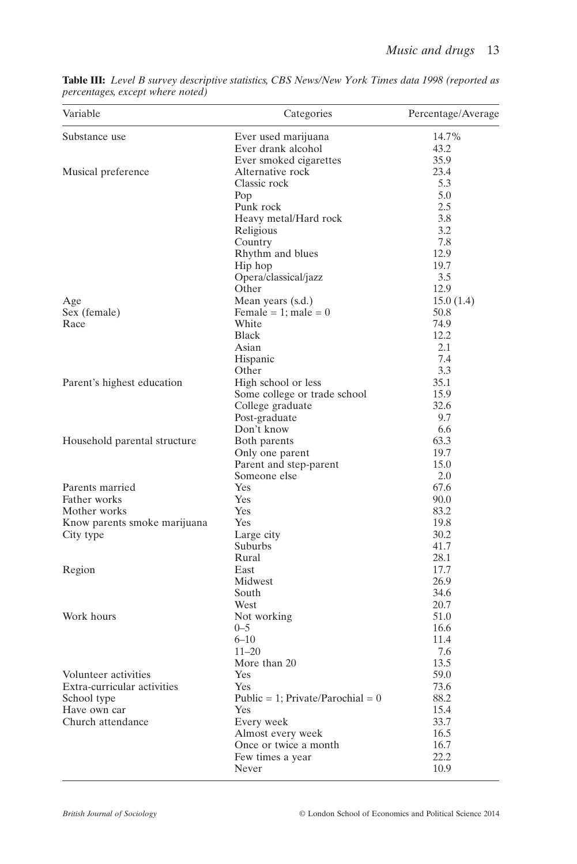| Variable                     | Categories                          | Percentage/Average |  |  |
|------------------------------|-------------------------------------|--------------------|--|--|
| Substance use                | Ever used marijuana                 | 14.7%              |  |  |
|                              | Ever drank alcohol                  | 43.2               |  |  |
|                              | Ever smoked cigarettes              | 35.9               |  |  |
| Musical preference           | Alternative rock                    | 23.4               |  |  |
|                              | Classic rock                        | 5.3                |  |  |
|                              | Pop                                 | 5.0                |  |  |
|                              | Punk rock                           | 2.5                |  |  |
|                              | Heavy metal/Hard rock               | 3.8                |  |  |
|                              | Religious                           | 3.2                |  |  |
|                              | Country                             | 7.8                |  |  |
|                              | Rhythm and blues                    | 12.9               |  |  |
|                              | Hip hop                             | 19.7               |  |  |
|                              | Opera/classical/jazz                | 3.5                |  |  |
|                              | Other                               | 12.9               |  |  |
| Age                          | Mean years (s.d.)                   | 15.0(1.4)          |  |  |
| Sex (female)                 | Female = $1$ ; male = $0$           | 50.8               |  |  |
| Race                         | White                               | 74.9               |  |  |
|                              | <b>Black</b>                        | 12.2               |  |  |
|                              | Asian                               | 2.1                |  |  |
|                              | Hispanic                            | 7.4                |  |  |
|                              | Other                               | 3.3                |  |  |
| Parent's highest education   | High school or less                 | 35.1               |  |  |
|                              | Some college or trade school        | 15.9               |  |  |
|                              | College graduate                    | 32.6               |  |  |
|                              | Post-graduate                       | 9.7                |  |  |
|                              | Don't know                          | 6.6                |  |  |
| Household parental structure | Both parents                        | 63.3               |  |  |
|                              | Only one parent                     | 19.7               |  |  |
|                              | Parent and step-parent              | 15.0               |  |  |
|                              | Someone else                        | 2.0                |  |  |
| Parents married              | Yes                                 | 67.6               |  |  |
| Father works                 | Yes                                 | 90.0               |  |  |
| Mother works                 | Yes                                 | 83.2               |  |  |
| Know parents smoke marijuana | Yes                                 | 19.8               |  |  |
| City type                    | Large city                          | 30.2               |  |  |
|                              | Suburbs                             | 41.7               |  |  |
|                              | Rural                               | 28.1               |  |  |
| Region                       | East                                | 17.7               |  |  |
|                              | Midwest                             | 26.9               |  |  |
|                              | South                               | 34.6               |  |  |
|                              | West                                | 20.7               |  |  |
| Work hours                   | Not working                         | 51.0               |  |  |
|                              | $0 - 5$                             | 16.6               |  |  |
|                              | $6 - 10$                            | 11.4               |  |  |
|                              | $11 - 20$                           | 7.6                |  |  |
|                              | More than 20                        | 13.5               |  |  |
| Volunteer activities         | Yes                                 | 59.0               |  |  |
|                              | Yes                                 | 73.6               |  |  |
| Extra-curricular activities  |                                     | 88.2               |  |  |
| School type                  | Public = 1; Private/Parochial = $0$ |                    |  |  |
| Have own car                 | Yes                                 | 15.4               |  |  |
| Church attendance            | Every week                          | 33.7               |  |  |
|                              | Almost every week                   | 16.5               |  |  |
|                              | Once or twice a month               | 16.7               |  |  |
|                              | Few times a year                    | 22.2               |  |  |
|                              | Never                               | 10.9               |  |  |

**Table III:** *Level B survey descriptive statistics, CBS News/New York Times data 1998 (reported as percentages, except where noted)*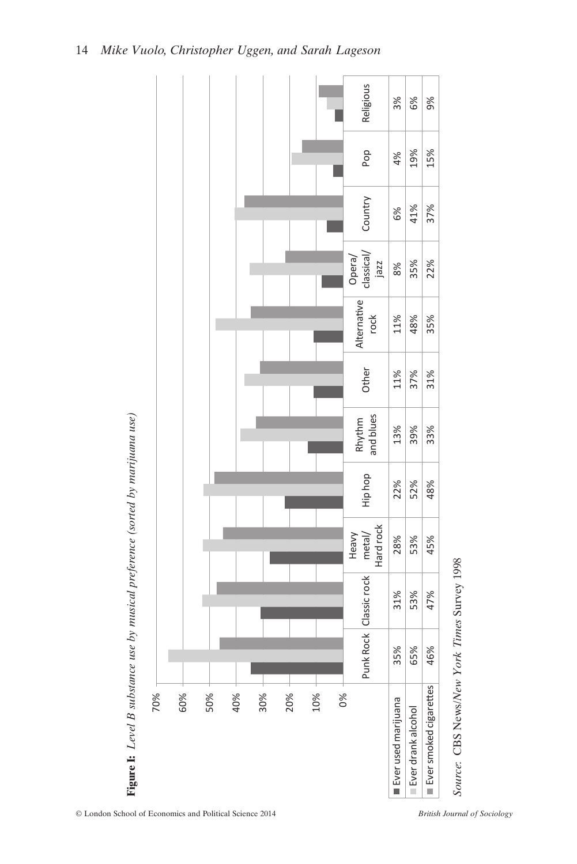

Source: CBS News/New York Times Survey 1998 *Source*: CBS News/*New York Times* Survey 1998

© London School of Economics and Political Science 2014 *British Journal of Sociology*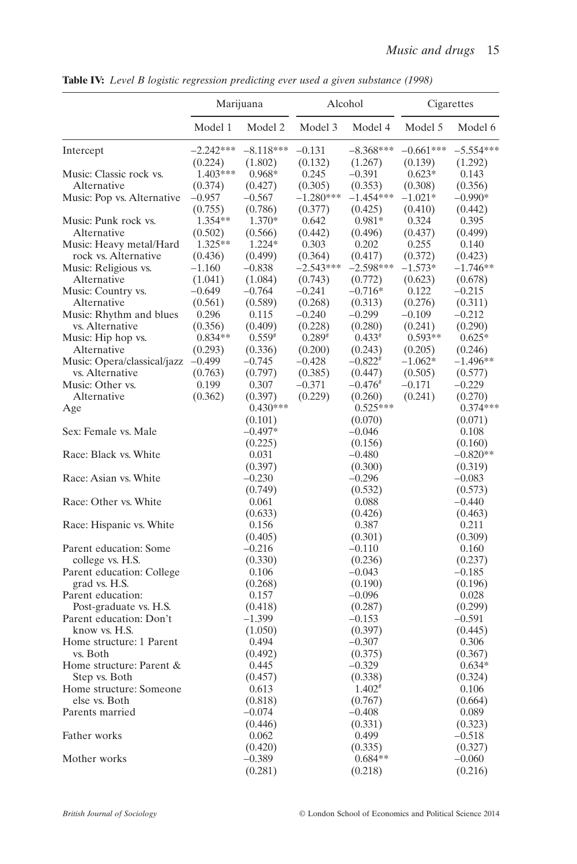|                                            |                     | Marijuana<br>Alcohol |                     | Cigarettes             |                      |                     |
|--------------------------------------------|---------------------|----------------------|---------------------|------------------------|----------------------|---------------------|
|                                            | Model 1             | Model 2              | Model 3             | Model 4                | Model 5              | Model 6             |
| Intercept                                  | $-2.242***$         | -8.118***            | $-0.131$            | $-8.368***$            | $-0.661***$          | $-5.554***$         |
|                                            | (0.224)             | (1.802)              | (0.132)             | (1.267)                | (0.139)              | (1.292)             |
| Music: Classic rock vs.                    | 1.403***            | $0.968*$             | 0.245               | $-0.391$               | $0.623*$             | 0.143               |
| Alternative                                | (0.374)             | (0.427)              | (0.305)             | (0.353)                | (0.308)              | (0.356)             |
| Music: Pop vs. Alternative                 | $-0.957$            | $-0.567$             | $-1.280***$         | $-1.454***$            | $-1.021*$            | $-0.990*$           |
|                                            | (0.755)             | (0.786)              | (0.377)             | (0.425)                | (0.410)              | (0.442)             |
| Music: Punk rock vs.                       | $1.354**$           | 1.370*               | 0.642               | $0.981*$               | 0.324                | 0.395               |
| Alternative                                | (0.502)             | (0.566)              | (0.442)             | (0.496)                | (0.437)              | (0.499)             |
| Music: Heavy metal/Hard                    | $1.325**$           | 1.224*               | 0.303               | 0.202                  | 0.255                | 0.140               |
| rock vs. Alternative                       | (0.436)             | (0.499)              | (0.364)             | (0.417)<br>$-2.598***$ | (0.372)<br>$-1.573*$ | (0.423)             |
| Music: Religious vs.<br>Alternative        | $-1.160$            | $-0.838$             | -2.543***           |                        |                      | $-1.746**$          |
| Music: Country vs.                         | (1.041)<br>$-0.649$ | (1.084)<br>$-0.764$  | (0.743)<br>$-0.241$ | (0.772)<br>$-0.716*$   | (0.623)<br>0.122     | (0.678)<br>$-0.215$ |
| Alternative                                | (0.561)             | (0.589)              | (0.268)             |                        |                      |                     |
| Music: Rhythm and blues                    | 0.296               | 0.115                | $-0.240$            | (0.313)<br>$-0.299$    | (0.276)<br>$-0.109$  | (0.311)<br>$-0.212$ |
| vs. Alternative                            | (0.356)             | (0.409)              | (0.228)             | (0.280)                | (0.241)              | (0.290)             |
| Music: Hip hop vs.                         | $0.834**$           | $0.559*$             | $0.289*$            | $0.433*$               | $0.593**$            | $0.625*$            |
| Alternative                                | (0.293)             | (0.336)              | (0.200)             | (0.243)                | (0.205)              | (0.246)             |
| Music: Opera/classical/jazz                | $-0.499$            | $-0.745$             | $-0.428$            | $-0.822$ <sup>#</sup>  | $-1.062*$            | –1.496**            |
| vs. Alternative                            | (0.763)             | (0.797)              | (0.385)             | (0.447)                | (0.505)              | (0.577)             |
| Music: Other vs.                           | 0.199               | 0.307                | $-0.371$            | $-0.476*$              | $-0.171$             | $-0.229$            |
| Alternative                                | (0.362)             | (0.397)              | (0.229)             | (0.260)                | (0.241)              | (0.270)             |
| Age                                        |                     | $0.430***$           |                     | $0.525***$             |                      | $0.374***$          |
|                                            |                     | (0.101)              |                     | (0.070)                |                      | (0.071)             |
| Sex: Female vs. Male                       |                     | $-0.497*$            |                     | $-0.046$               |                      | 0.108               |
|                                            |                     | (0.225)              |                     | (0.156)                |                      | (0.160)             |
| Race: Black vs. White                      |                     | 0.031                |                     | $-0.480$               |                      | $-0.820**$          |
|                                            |                     | (0.397)              |                     | (0.300)                |                      | (0.319)             |
| Race: Asian vs. White                      |                     | $-0.230$             |                     | $-0.296$               |                      | $-0.083$            |
|                                            |                     | (0.749)              |                     | (0.532)                |                      | (0.573)             |
| Race: Other vs. White                      |                     | 0.061                |                     | 0.088                  |                      | $-0.440$            |
|                                            |                     | (0.633)              |                     | (0.426)                |                      | (0.463)             |
| Race: Hispanic vs. White                   |                     | 0.156                |                     | 0.387                  |                      | 0.211               |
|                                            |                     | (0.405)              |                     | (0.301)                |                      | (0.309)             |
| Parent education: Some                     |                     | $-0.216$             |                     | $-0.110$               |                      | 0.160               |
| college vs. H.S.                           |                     | (0.330)              |                     | (0.236)<br>$-0.043$    |                      | (0.237)<br>$-0.185$ |
| Parent education: College<br>grad vs. H.S. |                     | 0.106<br>(0.268)     |                     | (0.190)                |                      | (0.196)             |
| Parent education:                          |                     | 0.157                |                     | $-0.096$               |                      | 0.028               |
| Post-graduate vs. H.S.                     |                     | (0.418)              |                     | (0.287)                |                      | (0.299)             |
| Parent education: Don't                    |                     | -1.399               |                     | $-0.153$               |                      | $-0.591$            |
| know vs. H.S.                              |                     | (1.050)              |                     | (0.397)                |                      | (0.445)             |
| Home structure: 1 Parent                   |                     | 0.494                |                     | $-0.307$               |                      | 0.306               |
| vs. Both                                   |                     | (0.492)              |                     | (0.375)                |                      | (0.367)             |
| Home structure: Parent &                   |                     | 0.445                |                     | $-0.329$               |                      | $0.634*$            |
| Step vs. Both                              |                     | (0.457)              |                     | (0.338)                |                      | (0.324)             |
| Home structure: Someone                    |                     | 0.613                |                     | $1.402*$               |                      | 0.106               |
| else vs. Both                              |                     | (0.818)              |                     | (0.767)                |                      | (0.664)             |
| Parents married                            |                     | $-0.074$             |                     | $-0.408$               |                      | 0.089               |
|                                            |                     | (0.446)              |                     | (0.331)                |                      | (0.323)             |
| Father works                               |                     | 0.062                |                     | 0.499                  |                      | $-0.518$            |
|                                            |                     | (0.420)              |                     | (0.335)                |                      | (0.327)             |
| Mother works                               |                     | $-0.389$             |                     | $0.684**$              |                      | $-0.060$            |
|                                            |                     | (0.281)              |                     | (0.218)                |                      | (0.216)             |

**Table IV:** *Level B logistic regression predicting ever used a given substance (1998)*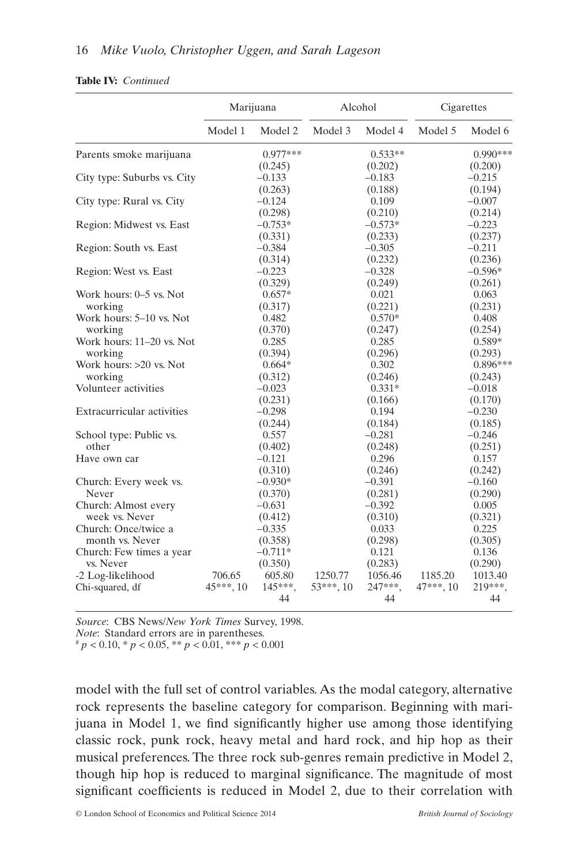#### **Table IV:** *Continued*

|                             |             | Marijuana<br>Alcohol |           |           | Cigarettes |            |
|-----------------------------|-------------|----------------------|-----------|-----------|------------|------------|
|                             | Model 1     | Model 2              | Model 3   | Model 4   | Model 5    | Model 6    |
| Parents smoke marijuana     |             | $0.977***$           |           | $0.533**$ |            | $0.990***$ |
|                             |             | (0.245)              |           | (0.202)   |            | (0.200)    |
| City type: Suburbs vs. City |             | $-0.133$             |           | $-0.183$  |            | $-0.215$   |
|                             |             | (0.263)              |           | (0.188)   |            | (0.194)    |
| City type: Rural vs. City   |             | $-0.124$             |           | 0.109     |            | $-0.007$   |
|                             |             | (0.298)              |           | (0.210)   |            | (0.214)    |
| Region: Midwest vs. East    |             | $-0.753*$            |           | $-0.573*$ |            | $-0.223$   |
|                             |             | (0.331)              |           | (0.233)   |            | (0.237)    |
| Region: South vs. East      |             | $-0.384$             |           | $-0.305$  |            | $-0.211$   |
|                             |             | (0.314)              |           | (0.232)   |            | (0.236)    |
| Region: West vs. East       |             | $-0.223$             |           | $-0.328$  |            | $-0.596*$  |
|                             |             | (0.329)              |           | (0.249)   |            | (0.261)    |
| Work hours: 0–5 vs. Not     |             | $0.657*$             |           | 0.021     |            | 0.063      |
| working                     |             | (0.317)              |           | (0.221)   |            | (0.231)    |
| Work hours: 5-10 vs. Not    |             | 0.482                |           | $0.570*$  |            | 0.408      |
| working                     |             | (0.370)              |           | (0.247)   |            | (0.254)    |
| Work hours: 11-20 vs. Not   |             | 0.285                |           | 0.285     |            | $0.589*$   |
| working                     |             | (0.394)              |           | (0.296)   |            | (0.293)    |
| Work hours: >20 vs. Not     |             | $0.664*$             |           | 0.302     |            | 0.896***   |
| working                     |             | (0.312)              |           | (0.246)   |            | (0.243)    |
| Volunteer activities        |             | $-0.023$             |           | $0.331*$  |            | $-0.018$   |
|                             |             | (0.231)              |           | (0.166)   |            | (0.170)    |
| Extracurricular activities  |             | $-0.298$             |           | 0.194     |            | $-0.230$   |
|                             |             | (0.244)              |           | (0.184)   |            | (0.185)    |
| School type: Public vs.     |             | 0.557                |           | $-0.281$  |            | $-0.246$   |
| other                       |             | (0.402)              |           | (0.248)   |            | (0.251)    |
| Have own car                |             | $-0.121$             |           | 0.296     |            | 0.157      |
|                             |             | (0.310)              |           | (0.246)   |            | (0.242)    |
| Church: Every week vs.      |             | $-0.930*$            |           | $-0.391$  |            | $-0.160$   |
| Never                       |             | (0.370)              |           | (0.281)   |            | (0.290)    |
| Church: Almost every        |             | $-0.631$             |           | $-0.392$  |            | 0.005      |
| week vs. Never              |             | (0.412)              |           | (0.310)   |            | (0.321)    |
| Church: Once/twice a        |             | $-0.335$             |           | 0.033     |            | 0.225      |
| month vs. Never             |             | (0.358)              |           | (0.298)   |            | (0.305)    |
| Church: Few times a year    |             | $-0.711*$            |           | 0.121     |            | 0.136      |
| vs. Never                   |             | (0.350)              |           | (0.283)   |            | (0.290)    |
| -2 Log-likelihood           | 706.65      | 605.80               | 1250.77   | 1056.46   | 1185.20    | 1013.40    |
| Chi-squared, df             | $45***, 10$ | 145***.              | 53***, 10 | 247***.   | 47***, 10  | 219***.    |
|                             |             | 44                   |           | 44        |            | 44         |

*Source*: CBS News/*New York Times* Survey, 1998.

*Note*: Standard errors are in parentheses.

 $p^* p < 0.10$ ,  $p^* p < 0.05$ ,  $p^* p < 0.01$ ,  $p^* p < 0.001$ 

model with the full set of control variables. As the modal category, alternative rock represents the baseline category for comparison. Beginning with marijuana in Model 1, we find significantly higher use among those identifying classic rock, punk rock, heavy metal and hard rock, and hip hop as their musical preferences. The three rock sub-genres remain predictive in Model 2, though hip hop is reduced to marginal significance. The magnitude of most significant coefficients is reduced in Model 2, due to their correlation with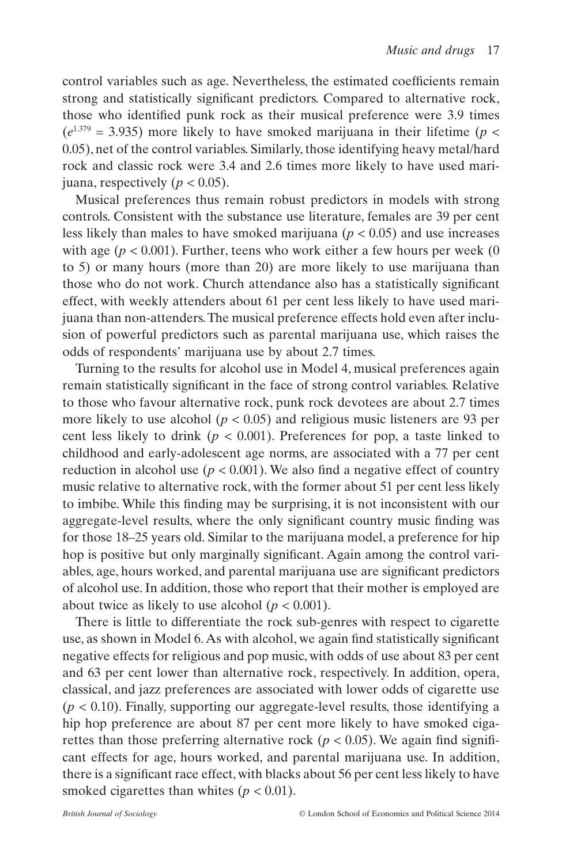control variables such as age. Nevertheless, the estimated coefficients remain strong and statistically significant predictors. Compared to alternative rock, those who identified punk rock as their musical preference were 3.9 times  $(e^{1.379} = 3.935)$  more likely to have smoked marijuana in their lifetime (*p* < 0.05), net of the control variables. Similarly, those identifying heavy metal/hard rock and classic rock were 3.4 and 2.6 times more likely to have used marijuana, respectively ( $p < 0.05$ ).

Musical preferences thus remain robust predictors in models with strong controls. Consistent with the substance use literature, females are 39 per cent less likely than males to have smoked marijuana ( $p < 0.05$ ) and use increases with age ( $p < 0.001$ ). Further, teens who work either a few hours per week (0) to 5) or many hours (more than 20) are more likely to use marijuana than those who do not work. Church attendance also has a statistically significant effect, with weekly attenders about 61 per cent less likely to have used marijuana than non-attenders.The musical preference effects hold even after inclusion of powerful predictors such as parental marijuana use, which raises the odds of respondents' marijuana use by about 2.7 times.

Turning to the results for alcohol use in Model 4, musical preferences again remain statistically significant in the face of strong control variables. Relative to those who favour alternative rock, punk rock devotees are about 2.7 times more likely to use alcohol ( $p < 0.05$ ) and religious music listeners are 93 per cent less likely to drink ( $p < 0.001$ ). Preferences for pop, a taste linked to childhood and early-adolescent age norms, are associated with a 77 per cent reduction in alcohol use  $(p < 0.001)$ . We also find a negative effect of country music relative to alternative rock, with the former about 51 per cent less likely to imbibe. While this finding may be surprising, it is not inconsistent with our aggregate-level results, where the only significant country music finding was for those 18–25 years old. Similar to the marijuana model, a preference for hip hop is positive but only marginally significant. Again among the control variables, age, hours worked, and parental marijuana use are significant predictors of alcohol use. In addition, those who report that their mother is employed are about twice as likely to use alcohol ( $p < 0.001$ ).

There is little to differentiate the rock sub-genres with respect to cigarette use, as shown in Model 6.As with alcohol, we again find statistically significant negative effects for religious and pop music, with odds of use about 83 per cent and 63 per cent lower than alternative rock, respectively. In addition, opera, classical, and jazz preferences are associated with lower odds of cigarette use  $(p < 0.10)$ . Finally, supporting our aggregate-level results, those identifying a hip hop preference are about 87 per cent more likely to have smoked cigarettes than those preferring alternative rock ( $p < 0.05$ ). We again find significant effects for age, hours worked, and parental marijuana use. In addition, there is a significant race effect, with blacks about 56 per cent less likely to have smoked cigarettes than whites  $(p < 0.01)$ .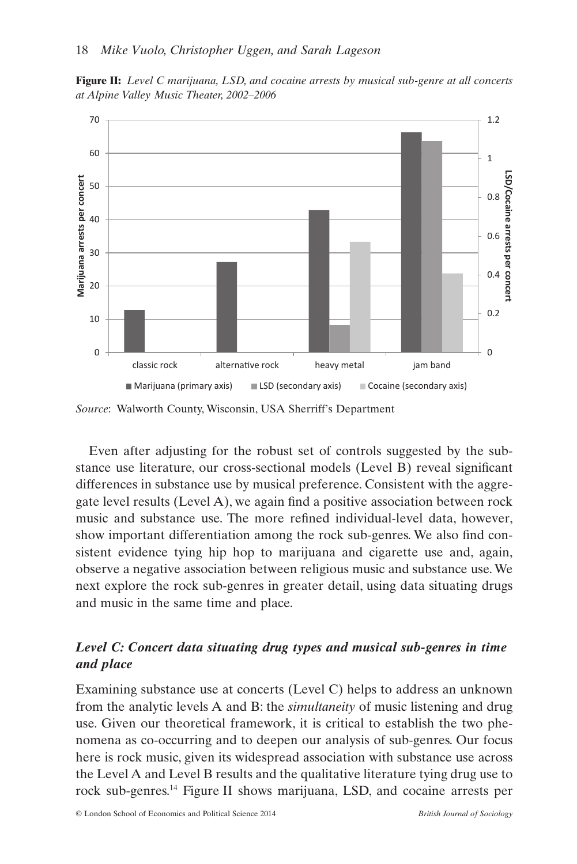**Figure II:** *Level C marijuana, LSD, and cocaine arrests by musical sub-genre at all concerts at Alpine Valley Music Theater, 2002–2006*



*Source*: Walworth County, Wisconsin, USA Sherriff's Department

Even after adjusting for the robust set of controls suggested by the substance use literature, our cross-sectional models (Level B) reveal significant differences in substance use by musical preference. Consistent with the aggregate level results (Level A), we again find a positive association between rock music and substance use. The more refined individual-level data, however, show important differentiation among the rock sub-genres. We also find consistent evidence tying hip hop to marijuana and cigarette use and, again, observe a negative association between religious music and substance use.We next explore the rock sub-genres in greater detail, using data situating drugs and music in the same time and place.

### *Level C: Concert data situating drug types and musical sub-genres in time and place*

Examining substance use at concerts (Level C) helps to address an unknown from the analytic levels A and B: the *simultaneity* of music listening and drug use. Given our theoretical framework, it is critical to establish the two phenomena as co-occurring and to deepen our analysis of sub-genres. Our focus here is rock music, given its widespread association with substance use across the Level A and Level B results and the qualitative literature tying drug use to rock sub-genres.14 Figure II shows marijuana, LSD, and cocaine arrests per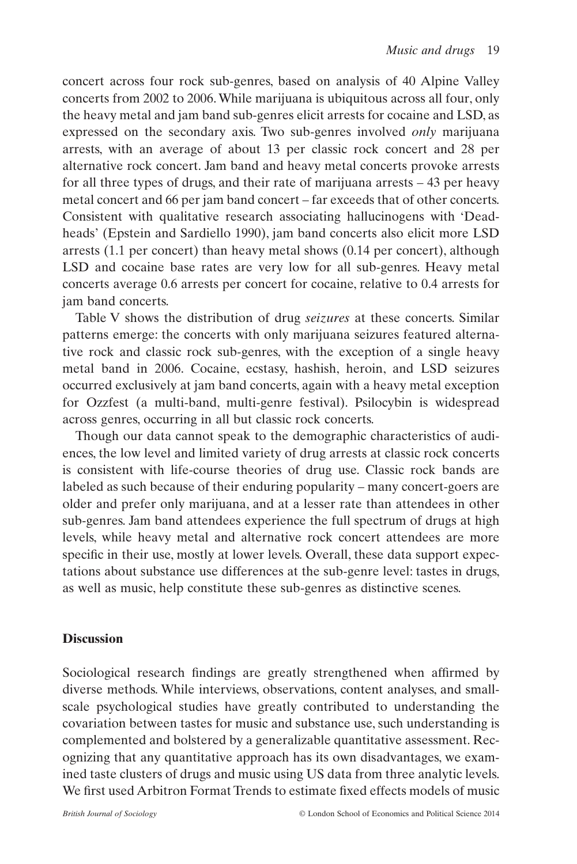concert across four rock sub-genres, based on analysis of 40 Alpine Valley concerts from 2002 to 2006.While marijuana is ubiquitous across all four, only the heavy metal and jam band sub-genres elicit arrests for cocaine and LSD, as expressed on the secondary axis. Two sub-genres involved *only* marijuana arrests, with an average of about 13 per classic rock concert and 28 per alternative rock concert. Jam band and heavy metal concerts provoke arrests for all three types of drugs, and their rate of marijuana arrests – 43 per heavy metal concert and 66 per jam band concert – far exceeds that of other concerts. Consistent with qualitative research associating hallucinogens with 'Deadheads' (Epstein and Sardiello 1990), jam band concerts also elicit more LSD arrests (1.1 per concert) than heavy metal shows (0.14 per concert), although LSD and cocaine base rates are very low for all sub-genres. Heavy metal concerts average 0.6 arrests per concert for cocaine, relative to 0.4 arrests for jam band concerts.

Table V shows the distribution of drug *seizures* at these concerts. Similar patterns emerge: the concerts with only marijuana seizures featured alternative rock and classic rock sub-genres, with the exception of a single heavy metal band in 2006. Cocaine, ecstasy, hashish, heroin, and LSD seizures occurred exclusively at jam band concerts, again with a heavy metal exception for Ozzfest (a multi-band, multi-genre festival). Psilocybin is widespread across genres, occurring in all but classic rock concerts.

Though our data cannot speak to the demographic characteristics of audiences, the low level and limited variety of drug arrests at classic rock concerts is consistent with life-course theories of drug use. Classic rock bands are labeled as such because of their enduring popularity – many concert-goers are older and prefer only marijuana, and at a lesser rate than attendees in other sub-genres. Jam band attendees experience the full spectrum of drugs at high levels, while heavy metal and alternative rock concert attendees are more specific in their use, mostly at lower levels. Overall, these data support expectations about substance use differences at the sub-genre level: tastes in drugs, as well as music, help constitute these sub-genres as distinctive scenes.

#### **Discussion**

Sociological research findings are greatly strengthened when affirmed by diverse methods. While interviews, observations, content analyses, and smallscale psychological studies have greatly contributed to understanding the covariation between tastes for music and substance use, such understanding is complemented and bolstered by a generalizable quantitative assessment. Recognizing that any quantitative approach has its own disadvantages, we examined taste clusters of drugs and music using US data from three analytic levels. We first used Arbitron Format Trends to estimate fixed effects models of music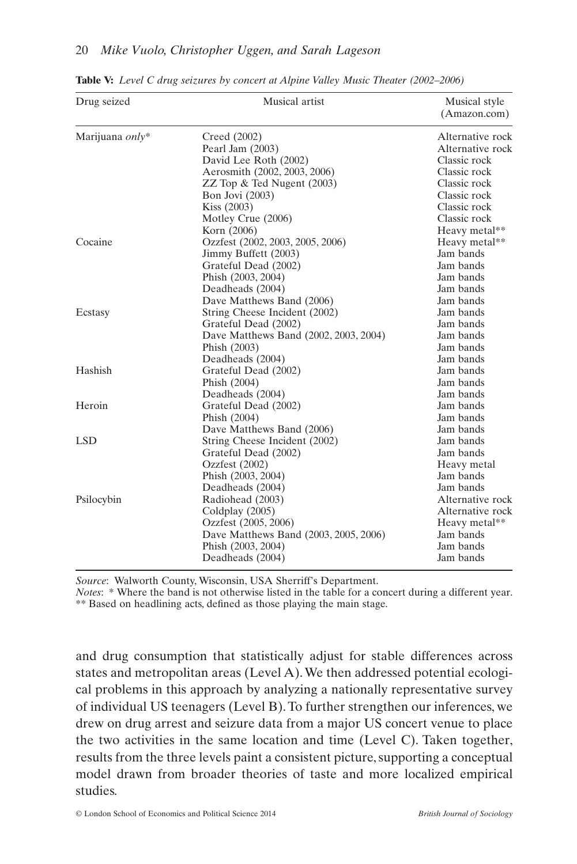| Alternative rock<br>Creed (2002)<br>Pearl Jam (2003)<br>Alternative rock<br>David Lee Roth (2002)<br>Classic rock<br>Aerosmith (2002, 2003, 2006)<br>Classic rock<br>Classic rock<br>$ZZ$ Top & Ted Nugent $(2003)$<br>Bon Jovi (2003)<br>Classic rock<br>Kiss(2003)<br>Classic rock<br>Motley Crue (2006)<br>Classic rock<br>Korn (2006)<br>Heavy metal**<br>Ozzfest (2002, 2003, 2005, 2006)<br>Cocaine<br>Heavy metal**<br>Jam bands<br>Jimmy Buffett (2003)<br>Jam bands<br>Grateful Dead (2002)<br>Phish (2003, 2004)<br>Jam bands<br>Deadheads (2004)<br>Jam bands<br>Dave Matthews Band (2006)<br>Jam bands<br>String Cheese Incident (2002)<br>Jam bands<br>Grateful Dead (2002)<br>Jam bands<br>Dave Matthews Band (2002, 2003, 2004)<br>Jam bands | Drug seized     | Musical artist | Musical style<br>(Amazon.com) |
|-------------------------------------------------------------------------------------------------------------------------------------------------------------------------------------------------------------------------------------------------------------------------------------------------------------------------------------------------------------------------------------------------------------------------------------------------------------------------------------------------------------------------------------------------------------------------------------------------------------------------------------------------------------------------------------------------------------------------------------------------------------|-----------------|----------------|-------------------------------|
|                                                                                                                                                                                                                                                                                                                                                                                                                                                                                                                                                                                                                                                                                                                                                             | Marijuana only* |                |                               |
|                                                                                                                                                                                                                                                                                                                                                                                                                                                                                                                                                                                                                                                                                                                                                             |                 |                |                               |
|                                                                                                                                                                                                                                                                                                                                                                                                                                                                                                                                                                                                                                                                                                                                                             |                 |                |                               |
|                                                                                                                                                                                                                                                                                                                                                                                                                                                                                                                                                                                                                                                                                                                                                             |                 |                |                               |
|                                                                                                                                                                                                                                                                                                                                                                                                                                                                                                                                                                                                                                                                                                                                                             |                 |                |                               |
|                                                                                                                                                                                                                                                                                                                                                                                                                                                                                                                                                                                                                                                                                                                                                             |                 |                |                               |
|                                                                                                                                                                                                                                                                                                                                                                                                                                                                                                                                                                                                                                                                                                                                                             |                 |                |                               |
|                                                                                                                                                                                                                                                                                                                                                                                                                                                                                                                                                                                                                                                                                                                                                             |                 |                |                               |
|                                                                                                                                                                                                                                                                                                                                                                                                                                                                                                                                                                                                                                                                                                                                                             |                 |                |                               |
|                                                                                                                                                                                                                                                                                                                                                                                                                                                                                                                                                                                                                                                                                                                                                             |                 |                |                               |
|                                                                                                                                                                                                                                                                                                                                                                                                                                                                                                                                                                                                                                                                                                                                                             |                 |                |                               |
|                                                                                                                                                                                                                                                                                                                                                                                                                                                                                                                                                                                                                                                                                                                                                             |                 |                |                               |
|                                                                                                                                                                                                                                                                                                                                                                                                                                                                                                                                                                                                                                                                                                                                                             |                 |                |                               |
|                                                                                                                                                                                                                                                                                                                                                                                                                                                                                                                                                                                                                                                                                                                                                             |                 |                |                               |
|                                                                                                                                                                                                                                                                                                                                                                                                                                                                                                                                                                                                                                                                                                                                                             |                 |                |                               |
|                                                                                                                                                                                                                                                                                                                                                                                                                                                                                                                                                                                                                                                                                                                                                             | Ecstasy         |                |                               |
|                                                                                                                                                                                                                                                                                                                                                                                                                                                                                                                                                                                                                                                                                                                                                             |                 |                |                               |
|                                                                                                                                                                                                                                                                                                                                                                                                                                                                                                                                                                                                                                                                                                                                                             |                 |                |                               |
|                                                                                                                                                                                                                                                                                                                                                                                                                                                                                                                                                                                                                                                                                                                                                             |                 | Phish (2003)   | Jam bands                     |
| Deadheads (2004)<br>Jam bands                                                                                                                                                                                                                                                                                                                                                                                                                                                                                                                                                                                                                                                                                                                               |                 |                |                               |
| Jam bands<br>Grateful Dead (2002)                                                                                                                                                                                                                                                                                                                                                                                                                                                                                                                                                                                                                                                                                                                           | Hashish         |                |                               |
| Phish (2004)<br>Jam bands                                                                                                                                                                                                                                                                                                                                                                                                                                                                                                                                                                                                                                                                                                                                   |                 |                |                               |
| Jam bands<br>Deadheads (2004)                                                                                                                                                                                                                                                                                                                                                                                                                                                                                                                                                                                                                                                                                                                               |                 |                |                               |
| Jam bands<br>Grateful Dead (2002)                                                                                                                                                                                                                                                                                                                                                                                                                                                                                                                                                                                                                                                                                                                           | Heroin          |                |                               |
| Phish (2004)<br>Jam bands                                                                                                                                                                                                                                                                                                                                                                                                                                                                                                                                                                                                                                                                                                                                   |                 |                |                               |
| Dave Matthews Band (2006)<br>Jam bands                                                                                                                                                                                                                                                                                                                                                                                                                                                                                                                                                                                                                                                                                                                      |                 |                |                               |
| String Cheese Incident (2002)<br>Jam bands                                                                                                                                                                                                                                                                                                                                                                                                                                                                                                                                                                                                                                                                                                                  | LSD             |                |                               |
| Grateful Dead (2002)<br>Jam bands                                                                                                                                                                                                                                                                                                                                                                                                                                                                                                                                                                                                                                                                                                                           |                 |                |                               |
| Ozzfest $(2002)$<br>Heavy metal                                                                                                                                                                                                                                                                                                                                                                                                                                                                                                                                                                                                                                                                                                                             |                 |                |                               |
| Jam bands<br>Phish (2003, 2004)                                                                                                                                                                                                                                                                                                                                                                                                                                                                                                                                                                                                                                                                                                                             |                 |                |                               |
| Deadheads (2004)<br>Jam bands                                                                                                                                                                                                                                                                                                                                                                                                                                                                                                                                                                                                                                                                                                                               |                 |                |                               |
| Alternative rock<br>Radiohead (2003)                                                                                                                                                                                                                                                                                                                                                                                                                                                                                                                                                                                                                                                                                                                        | Psilocybin      |                |                               |
| Coldplay (2005)<br>Alternative rock                                                                                                                                                                                                                                                                                                                                                                                                                                                                                                                                                                                                                                                                                                                         |                 |                |                               |
| Ozzfest (2005, 2006)<br>Heavy metal**                                                                                                                                                                                                                                                                                                                                                                                                                                                                                                                                                                                                                                                                                                                       |                 |                |                               |
| Dave Matthews Band (2003, 2005, 2006)<br>Jam bands                                                                                                                                                                                                                                                                                                                                                                                                                                                                                                                                                                                                                                                                                                          |                 |                |                               |
| Jam bands<br>Phish (2003, 2004)                                                                                                                                                                                                                                                                                                                                                                                                                                                                                                                                                                                                                                                                                                                             |                 |                |                               |
| Jam bands<br>Deadheads (2004)                                                                                                                                                                                                                                                                                                                                                                                                                                                                                                                                                                                                                                                                                                                               |                 |                |                               |

**Table V:** *Level C drug seizures by concert at Alpine Valley Music Theater (2002–2006)*

*Source*: Walworth County, Wisconsin, USA Sherriff's Department.

*Notes*: \* Where the band is not otherwise listed in the table for a concert during a different year. \*\* Based on headlining acts, defined as those playing the main stage.

and drug consumption that statistically adjust for stable differences across states and metropolitan areas (Level A).We then addressed potential ecological problems in this approach by analyzing a nationally representative survey of individual US teenagers (Level B).To further strengthen our inferences, we drew on drug arrest and seizure data from a major US concert venue to place the two activities in the same location and time (Level C). Taken together, results from the three levels paint a consistent picture, supporting a conceptual model drawn from broader theories of taste and more localized empirical studies.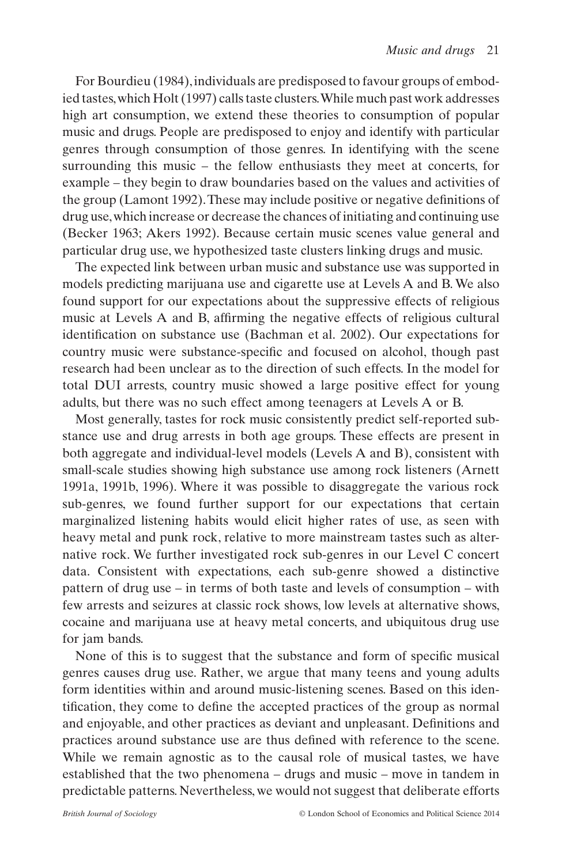For Bourdieu (1984), individuals are predisposed to favour groups of embodied tastes,which Holt (1997) calls taste clusters.While much past work addresses high art consumption, we extend these theories to consumption of popular music and drugs. People are predisposed to enjoy and identify with particular genres through consumption of those genres. In identifying with the scene surrounding this music – the fellow enthusiasts they meet at concerts, for example – they begin to draw boundaries based on the values and activities of the group (Lamont 1992).These may include positive or negative definitions of drug use,which increase or decrease the chances of initiating and continuing use (Becker 1963; Akers 1992). Because certain music scenes value general and particular drug use, we hypothesized taste clusters linking drugs and music.

The expected link between urban music and substance use was supported in models predicting marijuana use and cigarette use at Levels A and B.We also found support for our expectations about the suppressive effects of religious music at Levels A and B, affirming the negative effects of religious cultural identification on substance use (Bachman et al. 2002). Our expectations for country music were substance-specific and focused on alcohol, though past research had been unclear as to the direction of such effects. In the model for total DUI arrests, country music showed a large positive effect for young adults, but there was no such effect among teenagers at Levels A or B.

Most generally, tastes for rock music consistently predict self-reported substance use and drug arrests in both age groups. These effects are present in both aggregate and individual-level models (Levels A and B), consistent with small-scale studies showing high substance use among rock listeners (Arnett 1991a, 1991b, 1996). Where it was possible to disaggregate the various rock sub-genres, we found further support for our expectations that certain marginalized listening habits would elicit higher rates of use, as seen with heavy metal and punk rock, relative to more mainstream tastes such as alternative rock. We further investigated rock sub-genres in our Level C concert data. Consistent with expectations, each sub-genre showed a distinctive pattern of drug use – in terms of both taste and levels of consumption – with few arrests and seizures at classic rock shows, low levels at alternative shows, cocaine and marijuana use at heavy metal concerts, and ubiquitous drug use for jam bands.

None of this is to suggest that the substance and form of specific musical genres causes drug use. Rather, we argue that many teens and young adults form identities within and around music-listening scenes. Based on this identification, they come to define the accepted practices of the group as normal and enjoyable, and other practices as deviant and unpleasant. Definitions and practices around substance use are thus defined with reference to the scene. While we remain agnostic as to the causal role of musical tastes, we have established that the two phenomena – drugs and music – move in tandem in predictable patterns. Nevertheless, we would not suggest that deliberate efforts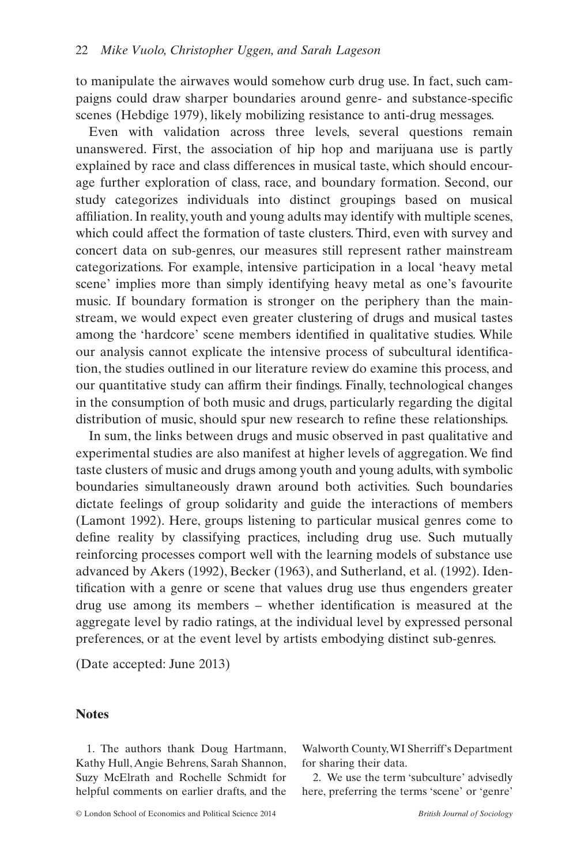to manipulate the airwaves would somehow curb drug use. In fact, such campaigns could draw sharper boundaries around genre- and substance-specific scenes (Hebdige 1979), likely mobilizing resistance to anti-drug messages.

Even with validation across three levels, several questions remain unanswered. First, the association of hip hop and marijuana use is partly explained by race and class differences in musical taste, which should encourage further exploration of class, race, and boundary formation. Second, our study categorizes individuals into distinct groupings based on musical affiliation. In reality, youth and young adults may identify with multiple scenes, which could affect the formation of taste clusters. Third, even with survey and concert data on sub-genres, our measures still represent rather mainstream categorizations. For example, intensive participation in a local 'heavy metal scene' implies more than simply identifying heavy metal as one's favourite music. If boundary formation is stronger on the periphery than the mainstream, we would expect even greater clustering of drugs and musical tastes among the 'hardcore' scene members identified in qualitative studies. While our analysis cannot explicate the intensive process of subcultural identification, the studies outlined in our literature review do examine this process, and our quantitative study can affirm their findings. Finally, technological changes in the consumption of both music and drugs, particularly regarding the digital distribution of music, should spur new research to refine these relationships.

In sum, the links between drugs and music observed in past qualitative and experimental studies are also manifest at higher levels of aggregation.We find taste clusters of music and drugs among youth and young adults, with symbolic boundaries simultaneously drawn around both activities. Such boundaries dictate feelings of group solidarity and guide the interactions of members (Lamont 1992). Here, groups listening to particular musical genres come to define reality by classifying practices, including drug use. Such mutually reinforcing processes comport well with the learning models of substance use advanced by Akers (1992), Becker (1963), and Sutherland, et al. (1992). Identification with a genre or scene that values drug use thus engenders greater drug use among its members – whether identification is measured at the aggregate level by radio ratings, at the individual level by expressed personal preferences, or at the event level by artists embodying distinct sub-genres.

(Date accepted: June 2013)

#### **Notes**

1. The authors thank Doug Hartmann, Kathy Hull, Angie Behrens, Sarah Shannon, Suzy McElrath and Rochelle Schmidt for helpful comments on earlier drafts, and the Walworth County,WI Sherriff's Department for sharing their data.

2. We use the term 'subculture' advisedly here, preferring the terms 'scene' or 'genre'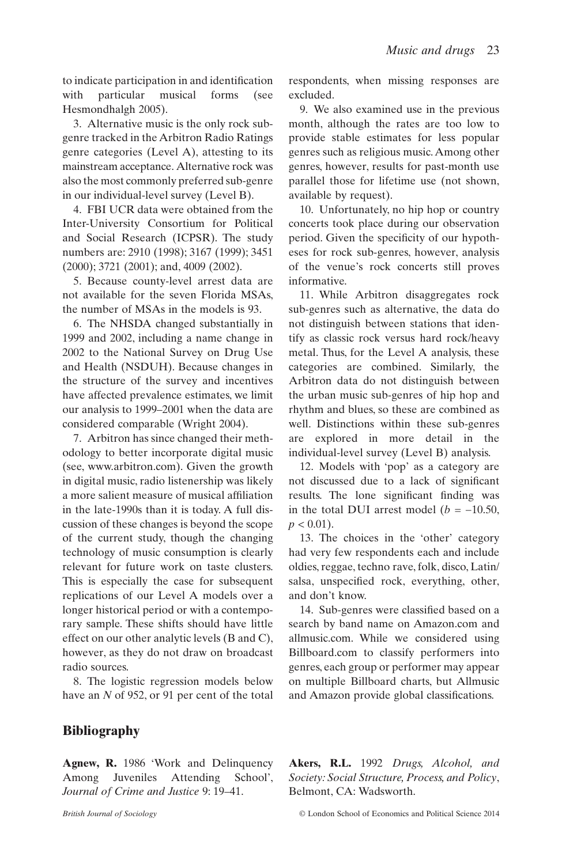to indicate participation in and identification with particular musical forms (see Hesmondhalgh 2005).

3. Alternative music is the only rock subgenre tracked in the Arbitron Radio Ratings genre categories (Level A), attesting to its mainstream acceptance. Alternative rock was also the most commonly preferred sub-genre in our individual-level survey (Level B).

4. FBI UCR data were obtained from the Inter-University Consortium for Political and Social Research (ICPSR). The study numbers are: 2910 (1998); 3167 (1999); 3451 (2000); 3721 (2001); and, 4009 (2002).

5. Because county-level arrest data are not available for the seven Florida MSAs, the number of MSAs in the models is 93.

6. The NHSDA changed substantially in 1999 and 2002, including a name change in 2002 to the National Survey on Drug Use and Health (NSDUH). Because changes in the structure of the survey and incentives have affected prevalence estimates, we limit our analysis to 1999–2001 when the data are considered comparable (Wright 2004).

7. Arbitron has since changed their methodology to better incorporate digital music (see, [www.arbitron.com\)](http://www.arbitron.com). Given the growth in digital music, radio listenership was likely a more salient measure of musical affiliation in the late-1990s than it is today. A full discussion of these changes is beyond the scope of the current study, though the changing technology of music consumption is clearly relevant for future work on taste clusters. This is especially the case for subsequent replications of our Level A models over a longer historical period or with a contemporary sample. These shifts should have little effect on our other analytic levels (B and C), however, as they do not draw on broadcast radio sources.

8. The logistic regression models below have an *N* of 952, or 91 per cent of the total

### **Bibliography**

**Agnew, R.** 1986 'Work and Delinquency Among Juveniles Attending School', *Journal of Crime and Justice* 9: 19–41.

respondents, when missing responses are excluded.

9. We also examined use in the previous month, although the rates are too low to provide stable estimates for less popular genres such as religious music.Among other genres, however, results for past-month use parallel those for lifetime use (not shown, available by request).

10. Unfortunately, no hip hop or country concerts took place during our observation period. Given the specificity of our hypotheses for rock sub-genres, however, analysis of the venue's rock concerts still proves informative.

11. While Arbitron disaggregates rock sub-genres such as alternative, the data do not distinguish between stations that identify as classic rock versus hard rock/heavy metal. Thus, for the Level A analysis, these categories are combined. Similarly, the Arbitron data do not distinguish between the urban music sub-genres of hip hop and rhythm and blues, so these are combined as well. Distinctions within these sub-genres are explored in more detail in the individual-level survey (Level B) analysis.

12. Models with 'pop' as a category are not discussed due to a lack of significant results. The lone significant finding was in the total DUI arrest model ( $b = -10.50$ ,  $p < 0.01$ ).

13. The choices in the 'other' category had very few respondents each and include oldies, reggae, techno rave, folk, disco, Latin/ salsa, unspecified rock, everything, other, and don't know.

14. Sub-genres were classified based on a search by band name on [Amazon.com](http://www.Amazon.com) and [allmusic.com.](http://www.allmusic.com) While we considered using [Billboard.com](http://www.Billboard.com) to classify performers into genres, each group or performer may appear on multiple Billboard charts, but Allmusic and Amazon provide global classifications.

**Akers, R.L.** 1992 *Drugs, Alcohol, and Society: Social Structure, Process, and Policy*, Belmont, CA: Wadsworth.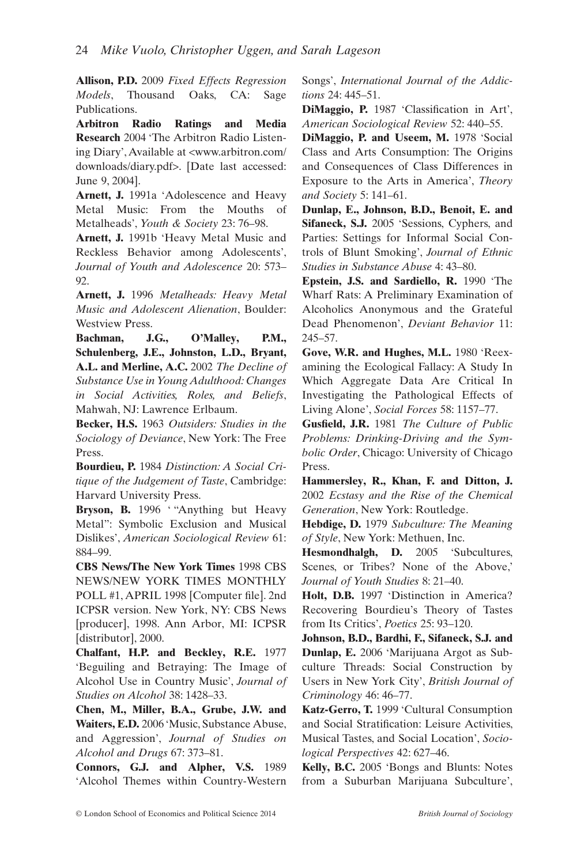**Allison, P.D.** 2009 *Fixed Effects Regression Models*, Thousand Oaks, CA: Sage Publications.

**Arbitron Radio Ratings and Media Research** 2004 'The Arbitron Radio Listening Diary', Available at <[www.arbitron.com/](http://www.arbitron.com/downloads/diary.pdf) [downloads/diary.pdf](http://www.arbitron.com/downloads/diary.pdf)>. [Date last accessed: June 9, 2004].

**Arnett, J.** 1991a 'Adolescence and Heavy Metal Music: From the Mouths of Metalheads', *Youth & Society* 23: 76–98.

**Arnett, J.** 1991b 'Heavy Metal Music and Reckless Behavior among Adolescents', *Journal of Youth and Adolescence* 20: 573– 92.

**Arnett, J.** 1996 *Metalheads: Heavy Metal Music and Adolescent Alienation*, Boulder: Westview Press.

**Bachman, J.G., O'Malley, P.M., Schulenberg, J.E., Johnston, L.D., Bryant, A.L. and Merline, A.C.** 2002 *The Decline of Substance Use in Young Adulthood: Changes in Social Activities, Roles, and Beliefs*, Mahwah, NJ: Lawrence Erlbaum.

**Becker, H.S.** 1963 *Outsiders: Studies in the Sociology of Deviance*, New York: The Free Press.

**Bourdieu, P.** 1984 *Distinction: A Social Critique of the Judgement of Taste*, Cambridge: Harvard University Press.

Bryson, B. 1996 '"Anything but Heavy Metal": Symbolic Exclusion and Musical Dislikes', *American Sociological Review* 61: 884–99.

**CBS News/The New York Times** 1998 CBS NEWS/NEW YORK TIMES MONTHLY POLL #1, APRIL 1998 [Computer file]. 2nd ICPSR version. New York, NY: CBS News [producer], 1998. Ann Arbor, MI: ICPSR [distributor], 2000.

**Chalfant, H.P. and Beckley, R.E.** 1977 'Beguiling and Betraying: The Image of Alcohol Use in Country Music', *Journal of Studies on Alcohol* 38: 1428–33.

**Chen, M., Miller, B.A., Grube, J.W. and Waiters, E.D.** 2006 'Music, Substance Abuse, and Aggression', *Journal of Studies on Alcohol and Drugs* 67: 373–81.

**Connors, G.J. and Alpher, V.S.** 1989 'Alcohol Themes within Country-Western

Songs', *International Journal of the Addictions* 24: 445–51.

**DiMaggio, P.** 1987 'Classification in Art', *American Sociological Review* 52: 440–55.

**DiMaggio, P. and Useem, M.** 1978 'Social Class and Arts Consumption: The Origins and Consequences of Class Differences in Exposure to the Arts in America', *Theory and Society* 5: 141–61.

**Dunlap, E., Johnson, B.D., Benoit, E. and Sifaneck, S.J.** 2005 'Sessions, Cyphers, and Parties: Settings for Informal Social Controls of Blunt Smoking', *Journal of Ethnic Studies in Substance Abuse* 4: 43–80.

**Epstein, J.S. and Sardiello, R.** 1990 'The Wharf Rats: A Preliminary Examination of Alcoholics Anonymous and the Grateful Dead Phenomenon', *Deviant Behavior* 11: 245–57.

**Gove, W.R. and Hughes, M.L.** 1980 'Reexamining the Ecological Fallacy: A Study In Which Aggregate Data Are Critical In Investigating the Pathological Effects of Living Alone', *Social Forces* 58: 1157–77.

**Gusfield, J.R.** 1981 *The Culture of Public Problems: Drinking-Driving and the Symbolic Order*, Chicago: University of Chicago Press.

**Hammersley, R., Khan, F. and Ditton, J.** 2002 *Ecstasy and the Rise of the Chemical Generation*, New York: Routledge.

**Hebdige, D.** 1979 *Subculture: The Meaning of Style*, New York: Methuen, Inc.

**Hesmondhalgh, D.** 2005 'Subcultures, Scenes, or Tribes? None of the Above,' *Journal of Youth Studies* 8: 21–40.

**Holt, D.B.** 1997 'Distinction in America? Recovering Bourdieu's Theory of Tastes from Its Critics', *Poetics* 25: 93–120.

**Johnson, B.D., Bardhi, F., Sifaneck, S.J. and Dunlap, E.** 2006 'Marijuana Argot as Subculture Threads: Social Construction by Users in New York City', *British Journal of Criminology* 46: 46–77.

**Katz-Gerro, T.** 1999 'Cultural Consumption and Social Stratification: Leisure Activities, Musical Tastes, and Social Location', *Sociological Perspectives* 42: 627–46.

**Kelly, B.C.** 2005 'Bongs and Blunts: Notes from a Suburban Marijuana Subculture',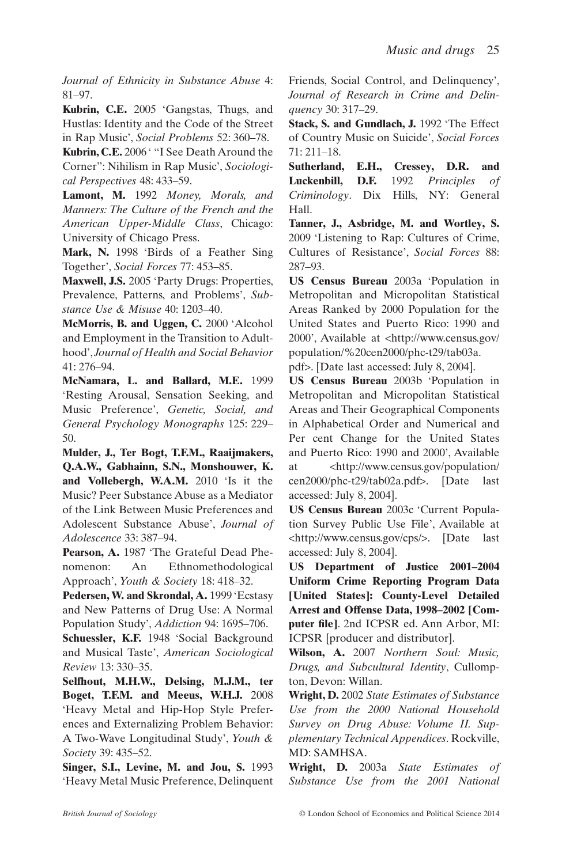*Journal of Ethnicity in Substance Abuse* 4: 81–97.

**Kubrin, C.E.** 2005 'Gangstas, Thugs, and Hustlas: Identity and the Code of the Street in Rap Music', *Social Problems* 52: 360–78.

**Kubrin, C.E.** 2006 ' "I See Death Around the Corner": Nihilism in Rap Music', *Sociological Perspectives* 48: 433–59.

**Lamont, M.** 1992 *Money, Morals, and Manners: The Culture of the French and the American Upper-Middle Class*, Chicago: University of Chicago Press.

**Mark, N.** 1998 'Birds of a Feather Sing Together', *Social Forces* 77: 453–85.

**Maxwell, J.S.** 2005 'Party Drugs: Properties, Prevalence, Patterns, and Problems', *Substance Use & Misuse* 40: 1203–40.

**McMorris, B. and Uggen, C.** 2000 'Alcohol and Employment in the Transition to Adulthood', *Journal of Health and Social Behavior* 41: 276–94.

**McNamara, L. and Ballard, M.E.** 1999 'Resting Arousal, Sensation Seeking, and Music Preference', *Genetic, Social, and General Psychology Monographs* 125: 229– 50.

**Mulder, J., Ter Bogt, T.F.M., Raaijmakers, Q.A.W., Gabhainn, S.N., Monshouwer, K. and Vollebergh, W.A.M.** 2010 'Is it the Music? Peer Substance Abuse as a Mediator of the Link Between Music Preferences and Adolescent Substance Abuse', *Journal of Adolescence* 33: 387–94.

**Pearson, A.** 1987 'The Grateful Dead Phenomenon: An Ethnomethodological Approach', *Youth & Society* 18: 418–32.

**Pedersen, W. and Skrondal, A.** 1999 'Ecstasy and New Patterns of Drug Use: A Normal Population Study', *Addiction* 94: 1695–706.

**Schuessler, K.F.** 1948 'Social Background and Musical Taste', *American Sociological Review* 13: 330–35.

**Selfhout, M.H.W., Delsing, M.J.M., ter Boget, T.F.M. and Meeus, W.H.J.** 2008 'Heavy Metal and Hip-Hop Style Preferences and Externalizing Problem Behavior: A Two-Wave Longitudinal Study', *Youth & Society* 39: 435–52.

**Singer, S.I., Levine, M. and Jou, S.** 1993 'Heavy Metal Music Preference, Delinquent

Friends, Social Control, and Delinquency', *Journal of Research in Crime and Delinquency* 30: 317–29.

**Stack, S. and Gundlach, J.** 1992 'The Effect of Country Music on Suicide', *Social Forces* 71: 211–18.

**Sutherland, E.H., Cressey, D.R. and Luckenbill, D.F.** 1992 *Principles of Criminology*. Dix Hills, NY: General Hall.

**Tanner, J., Asbridge, M. and Wortley, S.** 2009 'Listening to Rap: Cultures of Crime, Cultures of Resistance', *Social Forces* 88: 287–93.

**US Census Bureau** 2003a 'Population in Metropolitan and Micropolitan Statistical Areas Ranked by 2000 Population for the United States and Puerto Rico: 1990 and 2000', Available at <[http://www.census.gov/](http://www.census.gov/population/%20cen2000/phc-t29/tab03a.pdf) [population/%20cen2000/phc-t29/tab03a.](http://www.census.gov/population/%20cen2000/phc-t29/tab03a.pdf)

[pdf](http://www.census.gov/population/%20cen2000/phc-t29/tab03a.pdf)>. [Date last accessed: July 8, 2004].

**US Census Bureau** 2003b 'Population in Metropolitan and Micropolitan Statistical Areas and Their Geographical Components in Alphabetical Order and Numerical and Per cent Change for the United States and Puerto Rico: 1990 and 2000', Available at <[http://www.census.gov/population/](http://www.census.gov/population/cen2000/phc-t29/tab02a.pdf) [cen2000/phc-t29/tab02a.pdf](http://www.census.gov/population/cen2000/phc-t29/tab02a.pdf)>. [Date last accessed: July 8, 2004].

**US Census Bureau** 2003c 'Current Population Survey Public Use File', Available at <<http://www.census.gov/cps/>>. [Date last accessed: July 8, 2004].

**US Department of Justice 2001–2004 Uniform Crime Reporting Program Data [United States]: County-Level Detailed Arrest and Offense Data, 1998–2002 [Computer file]**. 2nd ICPSR ed. Ann Arbor, MI: ICPSR [producer and distributor].

**Wilson, A.** 2007 *Northern Soul: Music, Drugs, and Subcultural Identity*, Cullompton, Devon: Willan.

**Wright, D.** 2002 *State Estimates of Substance Use from the 2000 National Household Survey on Drug Abuse: Volume II. Supplementary Technical Appendices*. Rockville, MD: SAMHSA.

**Wright, D.** 2003a *State Estimates of Substance Use from the 2001 National*